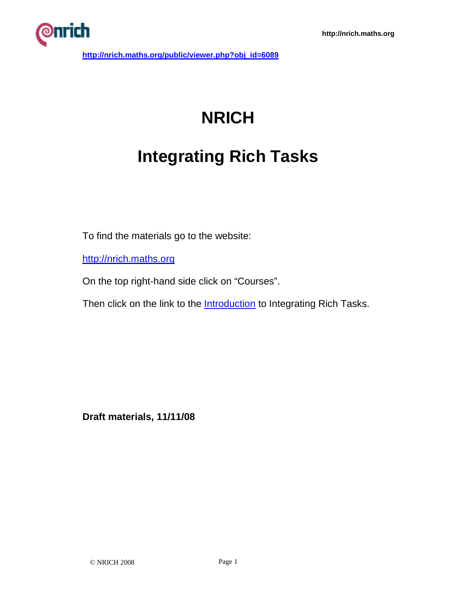

## **NRICH**

## **Integrating Rich Tasks**

To find the materials go to the website:

http://nrich.maths.org

On the top right-hand side click on "Courses".

Then click on the link to the **Introduction** to Integrating Rich Tasks.

**Draft materials, 11/11/08**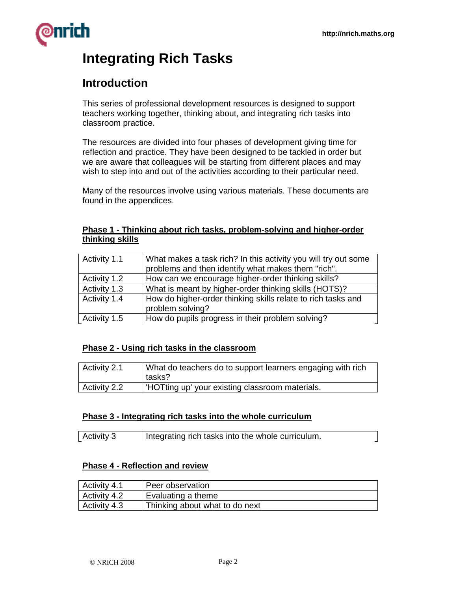# rich

## **Integrating Rich Tasks**

## **Introduction**

This series of professional development resources is designed to support teachers working together, thinking about, and integrating rich tasks into classroom practice.

The resources are divided into four phases of development giving time for reflection and practice. They have been designed to be tackled in order but we are aware that colleagues will be starting from different places and may wish to step into and out of the activities according to their particular need.

Many of the resources involve using various materials. These documents are found in the appendices.

#### **Phase 1 - Thinking about rich tasks, problem-solving and higher-order thinking skills**

| Activity 1.1 | What makes a task rich? In this activity you will try out some<br>problems and then identify what makes them "rich". |
|--------------|----------------------------------------------------------------------------------------------------------------------|
| Activity 1.2 | How can we encourage higher-order thinking skills?                                                                   |
| Activity 1.3 | What is meant by higher-order thinking skills (HOTS)?                                                                |
| Activity 1.4 | How do higher-order thinking skills relate to rich tasks and<br>problem solving?                                     |
| Activity 1.5 | How do pupils progress in their problem solving?                                                                     |

## **Phase 2 - Using rich tasks in the classroom**

| Activity 2.1 | What do teachers do to support learners engaging with rich<br>tasks? |
|--------------|----------------------------------------------------------------------|
| Activity 2.2 | 'HOTting up' your existing classroom materials.                      |

## **Phase 3 - Integrating rich tasks into the whole curriculum**

| Activity 3<br>Integrating rich tasks into the whole curriculum. |  |
|-----------------------------------------------------------------|--|
|-----------------------------------------------------------------|--|

## **Phase 4 - Reflection and review**

| Activity 4.1 | Peer observation               |
|--------------|--------------------------------|
| Activity 4.2 | Evaluating a theme             |
| Activity 4.3 | Thinking about what to do next |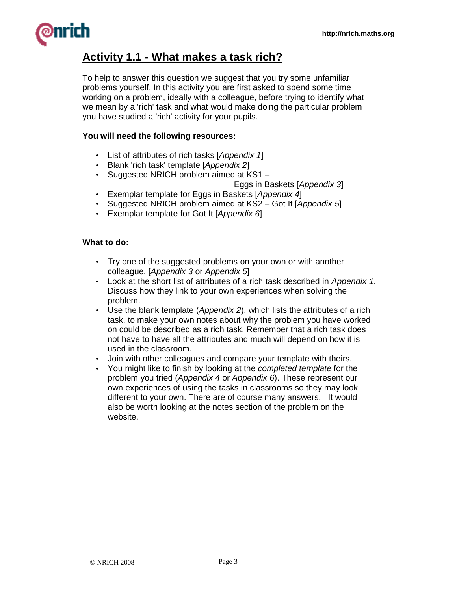

## **Activity 1.1 - What makes a task rich?**

To help to answer this question we suggest that you try some unfamiliar problems yourself. In this activity you are first asked to spend some time working on a problem, ideally with a colleague, before trying to identify what we mean by a 'rich' task and what would make doing the particular problem you have studied a 'rich' activity for your pupils.

#### **You will need the following resources:**

- List of attributes of rich tasks [Appendix 1]
- Blank 'rich task' template [Appendix 2]
- Suggested NRICH problem aimed at KS1 –

Eggs in Baskets [Appendix 3]

- Exemplar template for Eggs in Baskets [Appendix 4]
- Suggested NRICH problem aimed at KS2 Got It [Appendix 5]
- Exemplar template for Got It [Appendix 6]

#### **What to do:**

- Try one of the suggested problems on your own or with another colleague. [Appendix 3 or Appendix 5]
- Look at the short list of attributes of a rich task described in Appendix 1. Discuss how they link to your own experiences when solving the problem.
- Use the blank template (Appendix 2), which lists the attributes of a rich task, to make your own notes about why the problem you have worked on could be described as a rich task. Remember that a rich task does not have to have all the attributes and much will depend on how it is used in the classroom.
- Join with other colleagues and compare your template with theirs.
- You might like to finish by looking at the *completed template* for the problem you tried (Appendix 4 or Appendix 6). These represent our own experiences of using the tasks in classrooms so they may look different to your own. There are of course many answers. It would also be worth looking at the notes section of the problem on the website.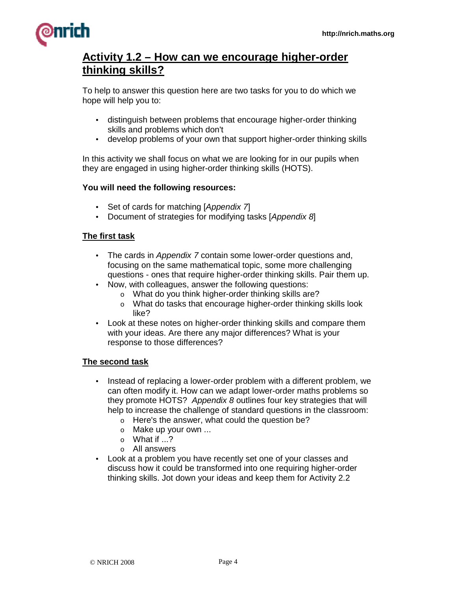

## **Activity 1.2 – How can we encourage higher-order thinking skills?**

To help to answer this question here are two tasks for you to do which we hope will help you to:

- distinguish between problems that encourage higher-order thinking skills and problems which don't
- develop problems of your own that support higher-order thinking skills

In this activity we shall focus on what we are looking for in our pupils when they are engaged in using higher-order thinking skills (HOTS).

#### **You will need the following resources:**

- Set of cards for matching [Appendix 7]
- Document of strategies for modifying tasks [Appendix 8]

#### **The first task**

- The cards in Appendix 7 contain some lower-order questions and, focusing on the same mathematical topic, some more challenging questions - ones that require higher-order thinking skills. Pair them up.
- Now, with colleagues, answer the following questions:
	- o What do you think higher-order thinking skills are?
	- o What do tasks that encourage higher-order thinking skills look like?
- Look at these notes on higher-order thinking skills and compare them with your ideas. Are there any major differences? What is your response to those differences?

#### **The second task**

- Instead of replacing a lower-order problem with a different problem, we can often modify it. How can we adapt lower-order maths problems so they promote HOTS? Appendix 8 outlines four key strategies that will help to increase the challenge of standard questions in the classroom:
	- o Here's the answer, what could the question be?
	- o Make up your own ...
	- $\circ$  What if  $\ldots$ ?
	- o All answers
- Look at a problem you have recently set one of your classes and discuss how it could be transformed into one requiring higher-order thinking skills. Jot down your ideas and keep them for Activity 2.2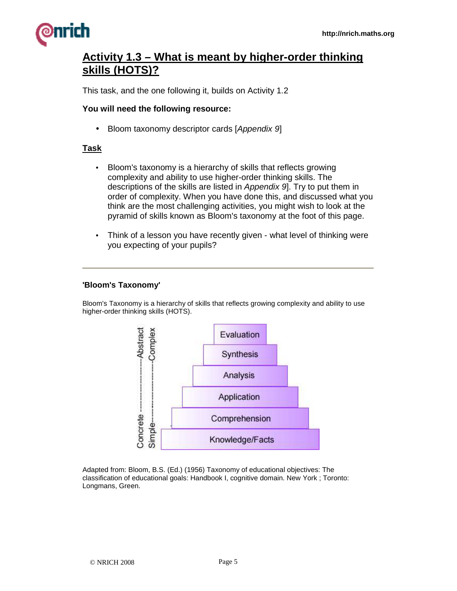

## **Activity 1.3 – What is meant by higher-order thinking skills (HOTS)?**

This task, and the one following it, builds on Activity 1.2

#### **You will need the following resource:**

• Bloom taxonomy descriptor cards [Appendix 9]

#### **Task**

- Bloom's taxonomy is a hierarchy of skills that reflects growing complexity and ability to use higher-order thinking skills. The descriptions of the skills are listed in Appendix 9]. Try to put them in order of complexity. When you have done this, and discussed what you think are the most challenging activities, you might wish to look at the pyramid of skills known as Bloom's taxonomy at the foot of this page.
- Think of a lesson you have recently given what level of thinking were you expecting of your pupils?

#### **'Bloom's Taxonomy'**

Bloom's Taxonomy is a hierarchy of skills that reflects growing complexity and ability to use higher-order thinking skills (HOTS).



Adapted from: Bloom, B.S. (Ed.) (1956) Taxonomy of educational objectives: The classification of educational goals: Handbook I, cognitive domain. New York ; Toronto: Longmans, Green.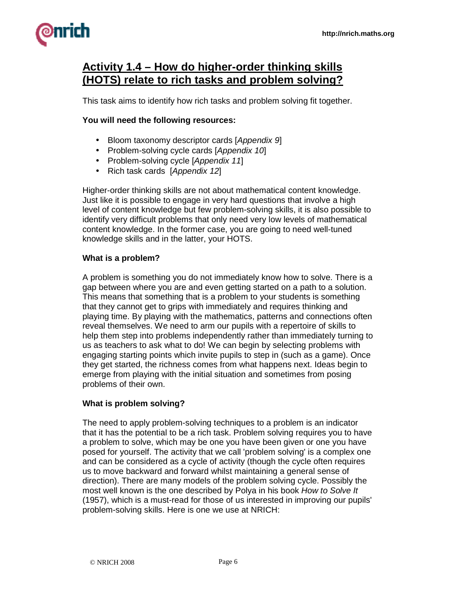

## **Activity 1.4 – How do higher-order thinking skills (HOTS) relate to rich tasks and problem solving?**

This task aims to identify how rich tasks and problem solving fit together.

#### **You will need the following resources:**

- Bloom taxonomy descriptor cards [Appendix 9]
- Problem-solving cycle cards [Appendix 10]
- Problem-solving cycle [Appendix 11]
- Rich task cards [Appendix 12]

Higher-order thinking skills are not about mathematical content knowledge. Just like it is possible to engage in very hard questions that involve a high level of content knowledge but few problem-solving skills, it is also possible to identify very difficult problems that only need very low levels of mathematical content knowledge. In the former case, you are going to need well-tuned knowledge skills and in the latter, your HOTS.

#### **What is a problem?**

A problem is something you do not immediately know how to solve. There is a gap between where you are and even getting started on a path to a solution. This means that something that is a problem to your students is something that they cannot get to grips with immediately and requires thinking and playing time. By playing with the mathematics, patterns and connections often reveal themselves. We need to arm our pupils with a repertoire of skills to help them step into problems independently rather than immediately turning to us as teachers to ask what to do! We can begin by selecting problems with engaging starting points which invite pupils to step in (such as a game). Once they get started, the richness comes from what happens next. Ideas begin to emerge from playing with the initial situation and sometimes from posing problems of their own.

#### **What is problem solving?**

The need to apply problem-solving techniques to a problem is an indicator that it has the potential to be a rich task. Problem solving requires you to have a problem to solve, which may be one you have been given or one you have posed for yourself. The activity that we call 'problem solving' is a complex one and can be considered as a cycle of activity (though the cycle often requires us to move backward and forward whilst maintaining a general sense of direction). There are many models of the problem solving cycle. Possibly the most well known is the one described by Polya in his book How to Solve It (1957), which is a must-read for those of us interested in improving our pupils' problem-solving skills. Here is one we use at NRICH: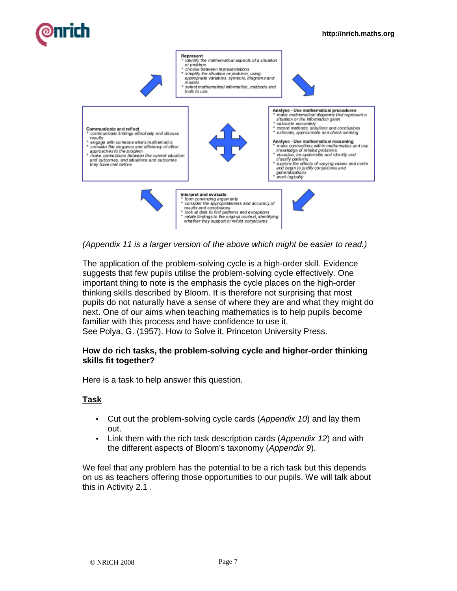

(Appendix 11 is a larger version of the above which might be easier to read.)

The application of the problem-solving cycle is a high-order skill. Evidence suggests that few pupils utilise the problem-solving cycle effectively. One important thing to note is the emphasis the cycle places on the high-order thinking skills described by Bloom. It is therefore not surprising that most pupils do not naturally have a sense of where they are and what they might do next. One of our aims when teaching mathematics is to help pupils become familiar with this process and have confidence to use it. See Polya, G. (1957). How to Solve it, Princeton University Press.

#### **How do rich tasks, the problem-solving cycle and higher-order thinking skills fit together?**

Here is a task to help answer this question.

## **Task**

- Cut out the problem-solving cycle cards (Appendix 10) and lay them out.
- Link them with the rich task description cards (Appendix 12) and with the different aspects of Bloom's taxonomy (Appendix 9).

We feel that any problem has the potential to be a rich task but this depends on us as teachers offering those opportunities to our pupils. We will talk about this in Activity 2.1 .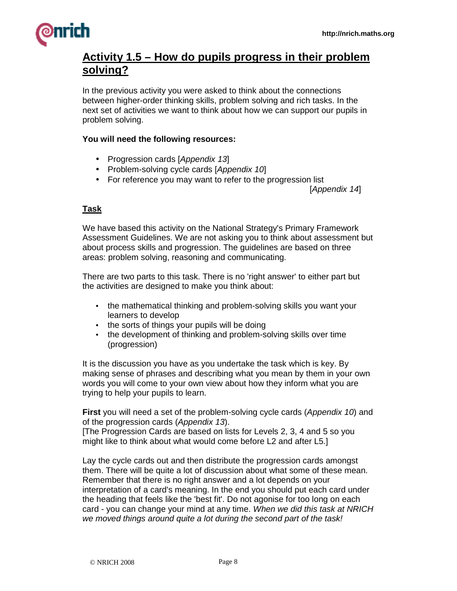

## **Activity 1.5 – How do pupils progress in their problem solving?**

In the previous activity you were asked to think about the connections between higher-order thinking skills, problem solving and rich tasks. In the next set of activities we want to think about how we can support our pupils in problem solving.

#### **You will need the following resources:**

- Progression cards [Appendix 13]
- Problem-solving cycle cards [Appendix 10]
- For reference you may want to refer to the progression list

[Appendix 14]

#### **Task**

We have based this activity on the National Strategy's Primary Framework Assessment Guidelines. We are not asking you to think about assessment but about process skills and progression. The guidelines are based on three areas: problem solving, reasoning and communicating.

There are two parts to this task. There is no 'right answer' to either part but the activities are designed to make you think about:

- the mathematical thinking and problem-solving skills you want your learners to develop
- the sorts of things your pupils will be doing
- the development of thinking and problem-solving skills over time (progression)

It is the discussion you have as you undertake the task which is key. By making sense of phrases and describing what you mean by them in your own words you will come to your own view about how they inform what you are trying to help your pupils to learn.

**First** you will need a set of the problem-solving cycle cards (Appendix 10) and of the progression cards (Appendix 13).

[The Progression Cards are based on lists for Levels 2, 3, 4 and 5 so you might like to think about what would come before L2 and after L5.]

Lay the cycle cards out and then distribute the progression cards amongst them. There will be quite a lot of discussion about what some of these mean. Remember that there is no right answer and a lot depends on your interpretation of a card's meaning. In the end you should put each card under the heading that feels like the 'best fit'. Do not agonise for too long on each card - you can change your mind at any time. When we did this task at NRICH we moved things around quite a lot during the second part of the task!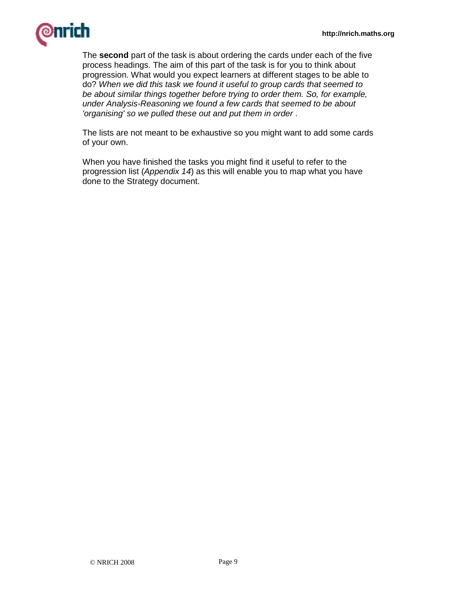

The **second** part of the task is about ordering the cards under each of the five process headings. The aim of this part of the task is for you to think about progression. What would you expect learners at different stages to be able to do? When we did this task we found it useful to group cards that seemed to be about similar things together before trying to order them. So, for example, under Analysis-Reasoning we found a few cards that seemed to be about 'organising' so we pulled these out and put them in order .

The lists are not meant to be exhaustive so you might want to add some cards of your own.

When you have finished the tasks you might find it useful to refer to the progression list (Appendix 14) as this will enable you to map what you have done to the Strategy document.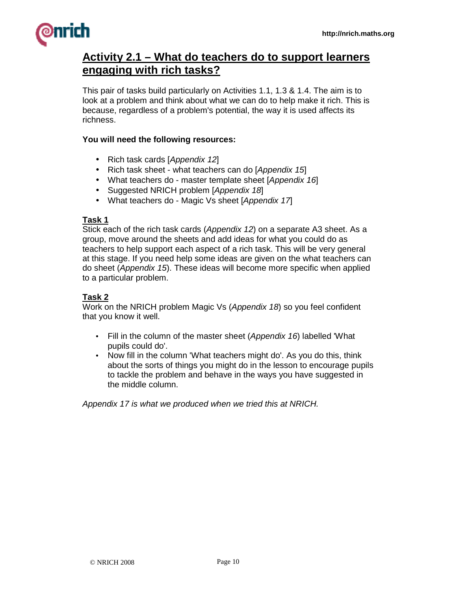

## **Activity 2.1 – What do teachers do to support learners engaging with rich tasks?**

This pair of tasks build particularly on Activities 1.1, 1.3 & 1.4. The aim is to look at a problem and think about what we can do to help make it rich. This is because, regardless of a problem's potential, the way it is used affects its richness.

#### **You will need the following resources:**

- Rich task cards [Appendix 12]
- Rich task sheet what teachers can do [Appendix 15]
- What teachers do master template sheet [Appendix 16]
- Suggested NRICH problem [Appendix 18]
- What teachers do Magic Vs sheet [Appendix 17]

#### **Task 1**

Stick each of the rich task cards (Appendix 12) on a separate A3 sheet. As a group, move around the sheets and add ideas for what you could do as teachers to help support each aspect of a rich task. This will be very general at this stage. If you need help some ideas are given on the what teachers can do sheet (Appendix 15). These ideas will become more specific when applied to a particular problem.

#### **Task 2**

Work on the NRICH problem Magic Vs (Appendix 18) so you feel confident that you know it well.

- Fill in the column of the master sheet (Appendix 16) labelled 'What pupils could do'.
- Now fill in the column 'What teachers might do'. As you do this, think about the sorts of things you might do in the lesson to encourage pupils to tackle the problem and behave in the ways you have suggested in the middle column.

Appendix 17 is what we produced when we tried this at NRICH.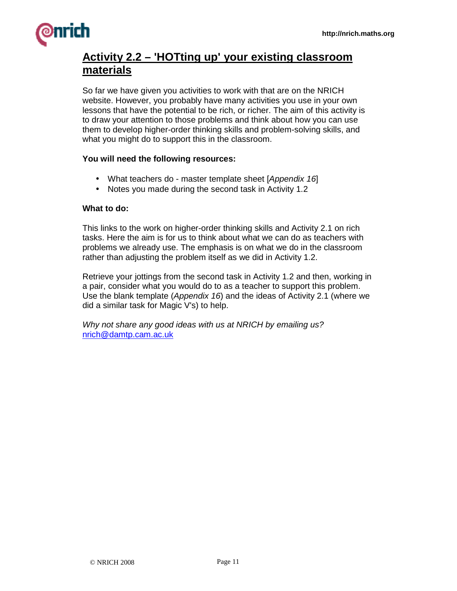

## **Activity 2.2 – 'HOTting up' your existing classroom materials**

So far we have given you activities to work with that are on the NRICH website. However, you probably have many activities you use in your own lessons that have the potential to be rich, or richer. The aim of this activity is to draw your attention to those problems and think about how you can use them to develop higher-order thinking skills and problem-solving skills, and what you might do to support this in the classroom.

#### **You will need the following resources:**

- What teachers do master template sheet [Appendix 16]
- Notes you made during the second task in Activity 1.2

#### **What to do:**

This links to the work on higher-order thinking skills and Activity 2.1 on rich tasks. Here the aim is for us to think about what we can do as teachers with problems we already use. The emphasis is on what we do in the classroom rather than adjusting the problem itself as we did in Activity 1.2.

Retrieve your jottings from the second task in Activity 1.2 and then, working in a pair, consider what you would do to as a teacher to support this problem. Use the blank template (Appendix 16) and the ideas of Activity 2.1 (where we did a similar task for Magic V's) to help.

Why not share any good ideas with us at NRICH by emailing us? nrich@damtp.cam.ac.uk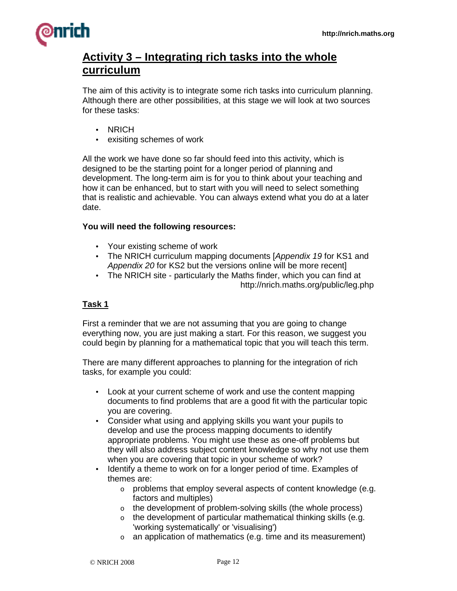

## **Activity 3 – Integrating rich tasks into the whole curriculum**

The aim of this activity is to integrate some rich tasks into curriculum planning. Although there are other possibilities, at this stage we will look at two sources for these tasks:

- NRICH
- exisiting schemes of work

All the work we have done so far should feed into this activity, which is designed to be the starting point for a longer period of planning and development. The long-term aim is for you to think about your teaching and how it can be enhanced, but to start with you will need to select something that is realistic and achievable. You can always extend what you do at a later date.

#### **You will need the following resources:**

- Your existing scheme of work
- The NRICH curriculum mapping documents [Appendix 19 for KS1 and Appendix 20 for KS2 but the versions online will be more recent]
- The NRICH site particularly the Maths finder, which you can find at http://nrich.maths.org/public/leg.php

#### **Task 1**

First a reminder that we are not assuming that you are going to change everything now, you are just making a start. For this reason, we suggest you could begin by planning for a mathematical topic that you will teach this term.

There are many different approaches to planning for the integration of rich tasks, for example you could:

- Look at your current scheme of work and use the content mapping documents to find problems that are a good fit with the particular topic you are covering.
- Consider what using and applying skills you want your pupils to develop and use the process mapping documents to identify appropriate problems. You might use these as one-off problems but they will also address subject content knowledge so why not use them when you are covering that topic in your scheme of work?
- Identify a theme to work on for a longer period of time. Examples of themes are:
	- o problems that employ several aspects of content knowledge (e.g. factors and multiples)
	- o the development of problem-solving skills (the whole process)
	- $\circ$  the development of particular mathematical thinking skills (e.g. 'working systematically' or 'visualising')
	- $\circ$  an application of mathematics (e.g. time and its measurement)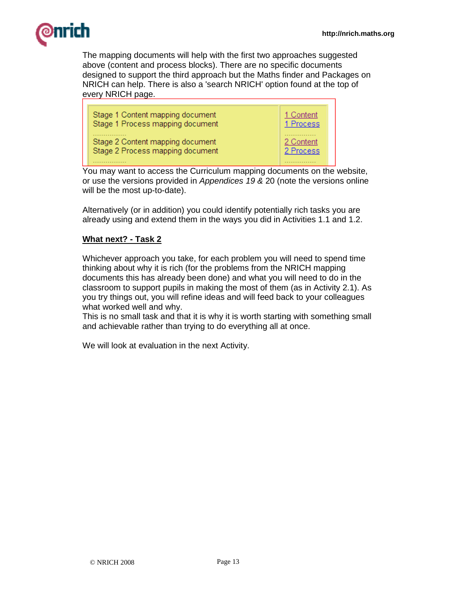

The mapping documents will help with the first two approaches suggested above (content and process blocks). There are no specific documents designed to support the third approach but the Maths finder and Packages on NRICH can help. There is also a 'search NRICH' option found at the top of every NRICH page.



You may want to access the Curriculum mapping documents on the website, or use the versions provided in Appendices 19 & 20 (note the versions online will be the most up-to-date).

Alternatively (or in addition) you could identify potentially rich tasks you are already using and extend them in the ways you did in Activities 1.1 and 1.2.

## **What next? - Task 2**

Whichever approach you take, for each problem you will need to spend time thinking about why it is rich (for the problems from the NRICH mapping documents this has already been done) and what you will need to do in the classroom to support pupils in making the most of them (as in Activity 2.1). As you try things out, you will refine ideas and will feed back to your colleagues what worked well and why.

This is no small task and that it is why it is worth starting with something small and achievable rather than trying to do everything all at once.

We will look at evaluation in the next Activity.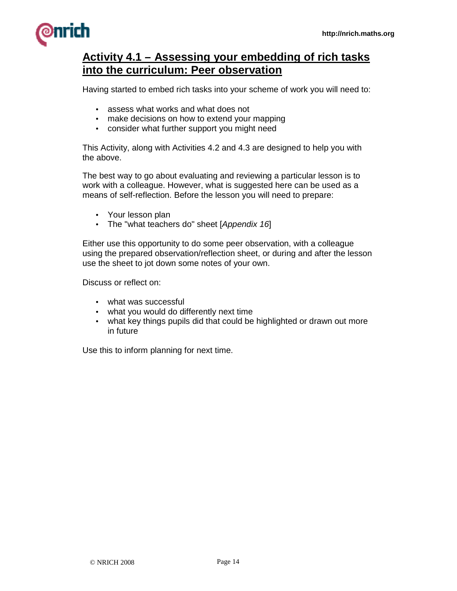

## **Activity 4.1 – Assessing your embedding of rich tasks into the curriculum: Peer observation**

Having started to embed rich tasks into your scheme of work you will need to:

- assess what works and what does not
- make decisions on how to extend your mapping
- consider what further support you might need

This Activity, along with Activities 4.2 and 4.3 are designed to help you with the above.

The best way to go about evaluating and reviewing a particular lesson is to work with a colleague. However, what is suggested here can be used as a means of self-reflection. Before the lesson you will need to prepare:

- Your lesson plan
- The "what teachers do" sheet [Appendix 16]

Either use this opportunity to do some peer observation, with a colleague using the prepared observation/reflection sheet, or during and after the lesson use the sheet to jot down some notes of your own.

Discuss or reflect on:

- what was successful
- what you would do differently next time
- what key things pupils did that could be highlighted or drawn out more in future

Use this to inform planning for next time.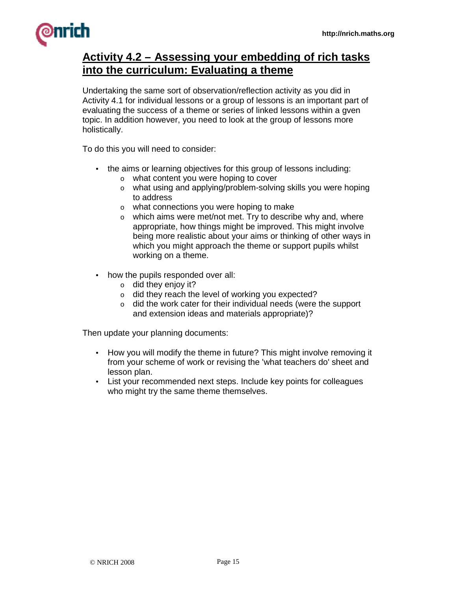

## **Activity 4.2 – Assessing your embedding of rich tasks into the curriculum: Evaluating a theme**

Undertaking the same sort of observation/reflection activity as you did in Activity 4.1 for individual lessons or a group of lessons is an important part of evaluating the success of a theme or series of linked lessons within a gven topic. In addition however, you need to look at the group of lessons more holistically.

To do this you will need to consider:

- the aims or learning objectives for this group of lessons including:
	- o what content you were hoping to cover
	- o what using and applying/problem-solving skills you were hoping to address
	- o what connections you were hoping to make
	- $\circ$  which aims were met/not met. Try to describe why and, where appropriate, how things might be improved. This might involve being more realistic about your aims or thinking of other ways in which you might approach the theme or support pupils whilst working on a theme.
- how the pupils responded over all:
	- $\circ$  did they enjoy it?
	- o did they reach the level of working you expected?
	- o did the work cater for their individual needs (were the support and extension ideas and materials appropriate)?

Then update your planning documents:

- How you will modify the theme in future? This might involve removing it from your scheme of work or revising the 'what teachers do' sheet and lesson plan.
- List your recommended next steps. Include key points for colleagues who might try the same theme themselves.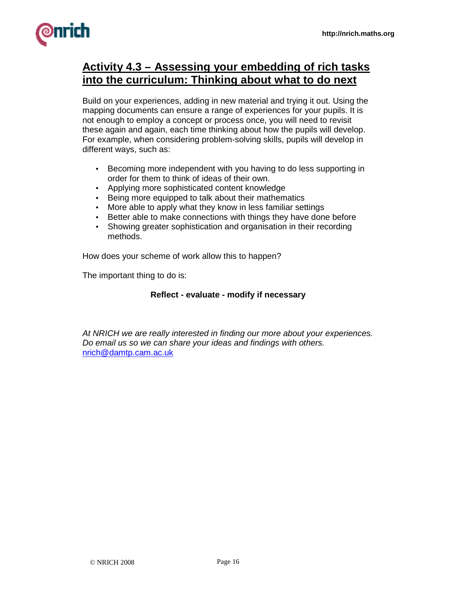

## **Activity 4.3 – Assessing your embedding of rich tasks into the curriculum: Thinking about what to do next**

Build on your experiences, adding in new material and trying it out. Using the mapping documents can ensure a range of experiences for your pupils. It is not enough to employ a concept or process once, you will need to revisit these again and again, each time thinking about how the pupils will develop. For example, when considering problem-solving skills, pupils will develop in different ways, such as:

- Becoming more independent with you having to do less supporting in order for them to think of ideas of their own.
- Applying more sophisticated content knowledge
- Being more equipped to talk about their mathematics
- More able to apply what they know in less familiar settings
- Better able to make connections with things they have done before
- Showing greater sophistication and organisation in their recording methods.

How does your scheme of work allow this to happen?

The important thing to do is:

#### **Reflect - evaluate - modify if necessary**

At NRICH we are really interested in finding our more about your experiences. Do email us so we can share your ideas and findings with others. nrich@damtp.cam.ac.uk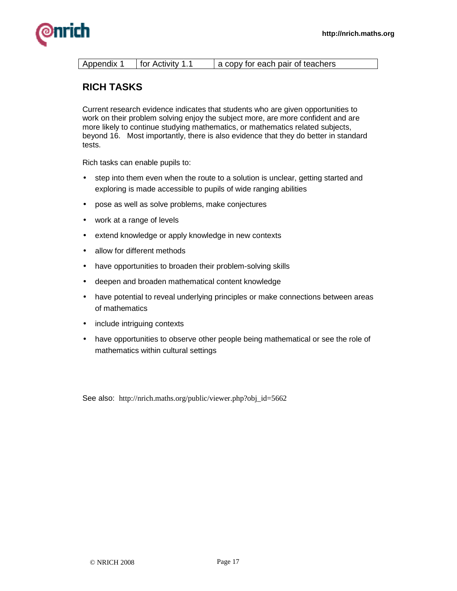

| Appendix 1 | for Activity 1.1 | a copy for each pair of teachers |
|------------|------------------|----------------------------------|
|            |                  |                                  |

## **RICH TASKS**

Current research evidence indicates that students who are given opportunities to work on their problem solving enjoy the subject more, are more confident and are more likely to continue studying mathematics, or mathematics related subjects, beyond 16. Most importantly, there is also evidence that they do better in standard tests.

Rich tasks can enable pupils to:

- step into them even when the route to a solution is unclear, getting started and exploring is made accessible to pupils of wide ranging abilities
- pose as well as solve problems, make conjectures
- work at a range of levels
- extend knowledge or apply knowledge in new contexts
- allow for different methods
- have opportunities to broaden their problem-solving skills
- deepen and broaden mathematical content knowledge
- have potential to reveal underlying principles or make connections between areas of mathematics
- include intriguing contexts
- have opportunities to observe other people being mathematical or see the role of mathematics within cultural settings

See also: http://nrich.maths.org/public/viewer.php?obj\_id=5662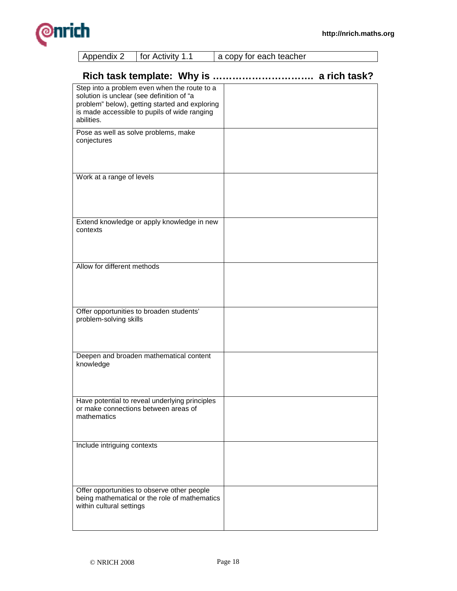

| Rich task template: Why is                                                                                                                                                                                | a rich task? |
|-----------------------------------------------------------------------------------------------------------------------------------------------------------------------------------------------------------|--------------|
| Step into a problem even when the route to a<br>solution is unclear (see definition of "a<br>problem" below), getting started and exploring<br>is made accessible to pupils of wide ranging<br>abilities. |              |
| Pose as well as solve problems, make<br>conjectures                                                                                                                                                       |              |
| Work at a range of levels                                                                                                                                                                                 |              |
| Extend knowledge or apply knowledge in new<br>contexts                                                                                                                                                    |              |
| Allow for different methods                                                                                                                                                                               |              |
| Offer opportunities to broaden students'<br>problem-solving skills                                                                                                                                        |              |
| Deepen and broaden mathematical content<br>knowledge                                                                                                                                                      |              |
| Have potential to reveal underlying principles<br>or make connections between areas of<br>mathematics                                                                                                     |              |
| Include intriguing contexts                                                                                                                                                                               |              |
| Offer opportunities to observe other people<br>being mathematical or the role of mathematics<br>within cultural settings                                                                                  |              |

Appendix 2 | for Activity 1.1 | a copy for each teacher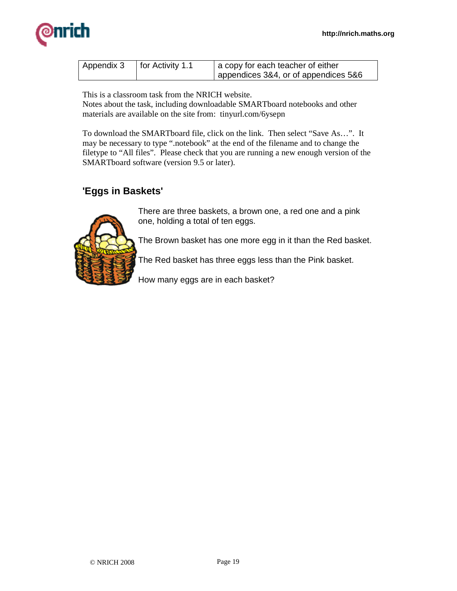

| Appendix 3 | for Activity 1.1 | a copy for each teacher of either    |
|------------|------------------|--------------------------------------|
|            |                  | appendices 3&4, or of appendices 5&6 |

This is a classroom task from the NRICH website.

Notes about the task, including downloadable SMARTboard notebooks and other materials are available on the site from: tinyurl.com/6ysepn

To download the SMARTboard file, click on the link. Then select "Save As…". It may be necessary to type ".notebook" at the end of the filename and to change the filetype to "All files". Please check that you are running a new enough version of the SMARTboard software (version 9.5 or later).

## **'Eggs in Baskets'**



There are three baskets, a brown one, a red one and a pink one, holding a total of ten eggs.

The Brown basket has one more egg in it than the Red basket.

The Red basket has three eggs less than the Pink basket.

How many eggs are in each basket?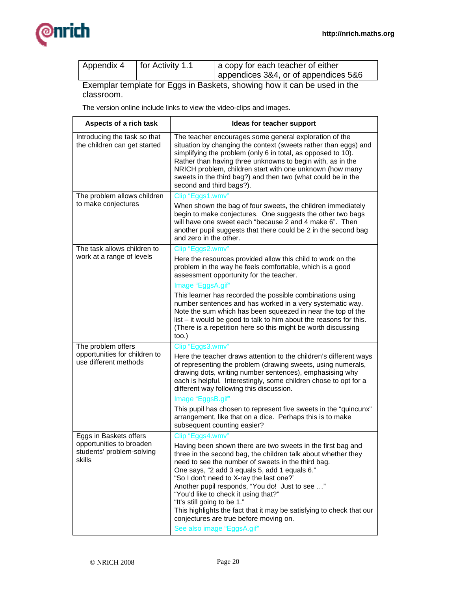

| Appendix 4 | for Activity 1.1 | a copy for each teacher of either    |
|------------|------------------|--------------------------------------|
|            |                  | appendices 3&4, or of appendices 5&6 |

Exemplar template for Eggs in Baskets, showing how it can be used in the classroom.

The version online include links to view the video-clips and images.

| Aspects of a rich task                                          | Ideas for teacher support                                                                                                                                                                                                                                                                                                                                                                                                                                                                                                  |
|-----------------------------------------------------------------|----------------------------------------------------------------------------------------------------------------------------------------------------------------------------------------------------------------------------------------------------------------------------------------------------------------------------------------------------------------------------------------------------------------------------------------------------------------------------------------------------------------------------|
| Introducing the task so that<br>the children can get started    | The teacher encourages some general exploration of the<br>situation by changing the context (sweets rather than eggs) and<br>simplifying the problem (only 6 in total, as opposed to 10).<br>Rather than having three unknowns to begin with, as in the<br>NRICH problem, children start with one unknown (how many<br>sweets in the third bag?) and then two (what could be in the<br>second and third bags?).                                                                                                            |
| The problem allows children                                     | Clip "Eggs1.wmv"                                                                                                                                                                                                                                                                                                                                                                                                                                                                                                           |
| to make conjectures                                             | When shown the bag of four sweets, the children immediately<br>begin to make conjectures. One suggests the other two bags<br>will have one sweet each "because 2 and 4 make 6". Then<br>another pupil suggests that there could be 2 in the second bag<br>and zero in the other.                                                                                                                                                                                                                                           |
| The task allows children to                                     | Clip "Eggs2.wmv"                                                                                                                                                                                                                                                                                                                                                                                                                                                                                                           |
| work at a range of levels                                       | Here the resources provided allow this child to work on the<br>problem in the way he feels comfortable, which is a good<br>assessment opportunity for the teacher.                                                                                                                                                                                                                                                                                                                                                         |
|                                                                 | Image "EggsA.gif"                                                                                                                                                                                                                                                                                                                                                                                                                                                                                                          |
|                                                                 | This learner has recorded the possible combinations using<br>number sentences and has worked in a very systematic way.<br>Note the sum which has been squeezed in near the top of the<br>list – it would be good to talk to him about the reasons for this.<br>(There is a repetition here so this might be worth discussing<br>too.)                                                                                                                                                                                      |
| The problem offers                                              | Clip "Eggs3.wmv"                                                                                                                                                                                                                                                                                                                                                                                                                                                                                                           |
| opportunities for children to<br>use different methods          | Here the teacher draws attention to the children's different ways<br>of representing the problem (drawing sweets, using numerals,<br>drawing dots, writing number sentences), emphasising why<br>each is helpful. Interestingly, some children chose to opt for a<br>different way following this discussion.                                                                                                                                                                                                              |
|                                                                 | Image "EggsB.gif"                                                                                                                                                                                                                                                                                                                                                                                                                                                                                                          |
|                                                                 | This pupil has chosen to represent five sweets in the "quincunx"<br>arrangement, like that on a dice. Perhaps this is to make<br>subsequent counting easier?                                                                                                                                                                                                                                                                                                                                                               |
| Eggs in Baskets offers                                          | Clip "Eggs4.wmv"                                                                                                                                                                                                                                                                                                                                                                                                                                                                                                           |
| opportunities to broaden<br>students' problem-solving<br>skills | Having been shown there are two sweets in the first bag and<br>three in the second bag, the children talk about whether they<br>need to see the number of sweets in the third bag.<br>One says, "2 add 3 equals 5, add 1 equals 6."<br>"So I don't need to X-ray the last one?"<br>Another pupil responds, "You do! Just to see "<br>"You'd like to check it using that?"<br>"It's still going to be 1."<br>This highlights the fact that it may be satisfying to check that our<br>conjectures are true before moving on. |
|                                                                 | See also image "EggsA.gif"                                                                                                                                                                                                                                                                                                                                                                                                                                                                                                 |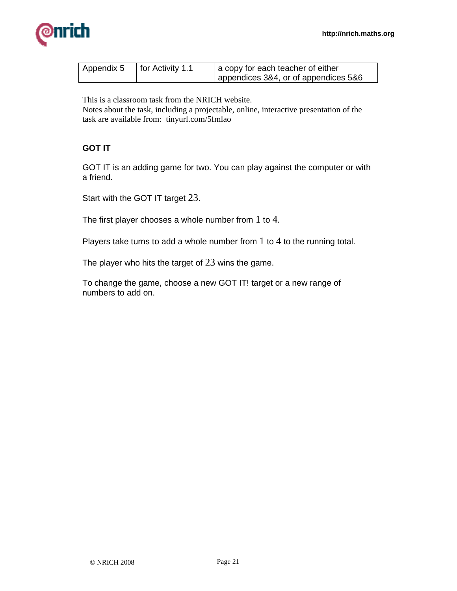

| Appendix 5 | <sup>1</sup> for Activity 1.1 | a copy for each teacher of either    |
|------------|-------------------------------|--------------------------------------|
|            |                               | appendices 3&4, or of appendices 5&6 |

This is a classroom task from the NRICH website.

Notes about the task, including a projectable, online, interactive presentation of the task are available from: tinyurl.com/5fmlao

## **GOT IT**

GOT IT is an adding game for two. You can play against the computer or with a friend.

Start with the GOT IT target 23.

The first player chooses a whole number from  $1$  to  $4$ .

Players take turns to add a whole number from 1 to 4 to the running total.

The player who hits the target of  $23$  wins the game.

To change the game, choose a new GOT IT! target or a new range of numbers to add on.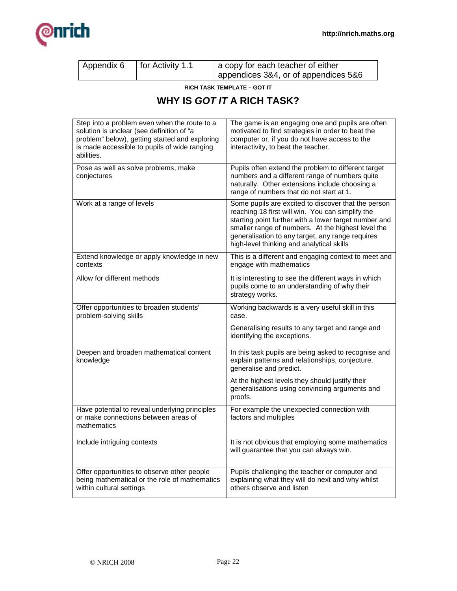

| Appendix 6 | for Activity 1.1 | a copy for each teacher of either    |
|------------|------------------|--------------------------------------|
|            |                  | appendices 3&4, or of appendices 5&6 |

**RICH TASK TEMPLATE – GOT IT** 

## **WHY IS GOT IT A RICH TASK?**

| Step into a problem even when the route to a<br>solution is unclear (see definition of "a<br>problem" below), getting started and exploring<br>is made accessible to pupils of wide ranging<br>abilities. | The game is an engaging one and pupils are often<br>motivated to find strategies in order to beat the<br>computer or, if you do not have access to the<br>interactivity, to beat the teacher.                                                                                                                           |
|-----------------------------------------------------------------------------------------------------------------------------------------------------------------------------------------------------------|-------------------------------------------------------------------------------------------------------------------------------------------------------------------------------------------------------------------------------------------------------------------------------------------------------------------------|
| Pose as well as solve problems, make<br>conjectures                                                                                                                                                       | Pupils often extend the problem to different target<br>numbers and a different range of numbers quite<br>naturally. Other extensions include choosing a<br>range of numbers that do not start at 1.                                                                                                                     |
| Work at a range of levels                                                                                                                                                                                 | Some pupils are excited to discover that the person<br>reaching 18 first will win. You can simplify the<br>starting point further with a lower target number and<br>smaller range of numbers. At the highest level the<br>generalisation to any target, any range requires<br>high-level thinking and analytical skills |
| Extend knowledge or apply knowledge in new<br>contexts                                                                                                                                                    | This is a different and engaging context to meet and<br>engage with mathematics                                                                                                                                                                                                                                         |
| Allow for different methods                                                                                                                                                                               | It is interesting to see the different ways in which<br>pupils come to an understanding of why their<br>strategy works.                                                                                                                                                                                                 |
| Offer opportunities to broaden students'<br>problem-solving skills                                                                                                                                        | Working backwards is a very useful skill in this<br>case.                                                                                                                                                                                                                                                               |
|                                                                                                                                                                                                           | Generalising results to any target and range and<br>identifying the exceptions.                                                                                                                                                                                                                                         |
| Deepen and broaden mathematical content<br>knowledge                                                                                                                                                      | In this task pupils are being asked to recognise and<br>explain patterns and relationships, conjecture,<br>generalise and predict.                                                                                                                                                                                      |
|                                                                                                                                                                                                           | At the highest levels they should justify their<br>generalisations using convincing arguments and<br>proofs.                                                                                                                                                                                                            |
| Have potential to reveal underlying principles<br>or make connections between areas of<br>mathematics                                                                                                     | For example the unexpected connection with<br>factors and multiples                                                                                                                                                                                                                                                     |
| Include intriguing contexts                                                                                                                                                                               | It is not obvious that employing some mathematics<br>will guarantee that you can always win.                                                                                                                                                                                                                            |
| Offer opportunities to observe other people<br>being mathematical or the role of mathematics<br>within cultural settings                                                                                  | Pupils challenging the teacher or computer and<br>explaining what they will do next and why whilst<br>others observe and listen                                                                                                                                                                                         |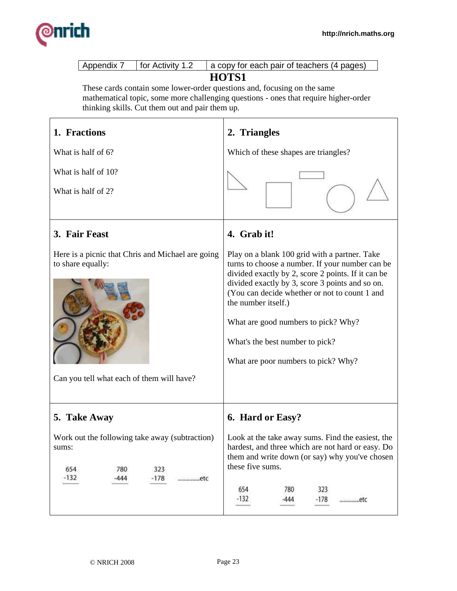

| Appendix 7<br>for Activity 1.2                                                                                                  | a copy for each pair of teachers (4 pages)                                                                                                                                                                                                                                                                                                                                                         |
|---------------------------------------------------------------------------------------------------------------------------------|----------------------------------------------------------------------------------------------------------------------------------------------------------------------------------------------------------------------------------------------------------------------------------------------------------------------------------------------------------------------------------------------------|
| These cards contain some lower-order questions and, focusing on the same<br>thinking skills. Cut them out and pair them up.     | HOTS1<br>mathematical topic, some more challenging questions - ones that require higher-order                                                                                                                                                                                                                                                                                                      |
| 1. Fractions                                                                                                                    | 2. Triangles                                                                                                                                                                                                                                                                                                                                                                                       |
| What is half of 6?                                                                                                              | Which of these shapes are triangles?                                                                                                                                                                                                                                                                                                                                                               |
| What is half of 10?                                                                                                             |                                                                                                                                                                                                                                                                                                                                                                                                    |
| What is half of 2?                                                                                                              |                                                                                                                                                                                                                                                                                                                                                                                                    |
| 3. Fair Feast                                                                                                                   | 4. Grab it!                                                                                                                                                                                                                                                                                                                                                                                        |
| Here is a picnic that Chris and Michael are going<br>to share equally:<br>Can you tell what each of them will have?             | Play on a blank 100 grid with a partner. Take<br>turns to choose a number. If your number can be<br>divided exactly by 2, score 2 points. If it can be<br>divided exactly by 3, score 3 points and so on.<br>(You can decide whether or not to count 1 and<br>the number itself.)<br>What are good numbers to pick? Why?<br>What's the best number to pick?<br>What are poor numbers to pick? Why? |
| 5. Take Away<br>Work out the following take away (subtraction)<br>sums:<br>323<br>654<br>780<br>$-132$<br>$-178$<br>-444<br>etc | 6. Hard or Easy?<br>Look at the take away sums. Find the easiest, the<br>hardest, and three which are not hard or easy. Do<br>them and write down (or say) why you've chosen<br>these five sums.<br>654<br>323<br>780<br>$-132$<br>$-178$<br>-444<br>etc                                                                                                                                           |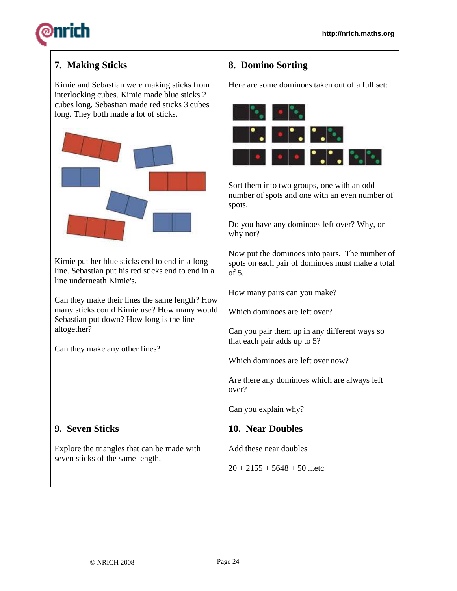## **7. Making Sticks**

Kimie and Sebastian were making sticks from interlocking cubes. Kimie made blue sticks 2 cubes long. Sebastian made red sticks 3 cubes long. They both made a lot of sticks.



Kimie put her blue sticks end to end in a long line. Sebastian put his red sticks end to end in a line underneath Kimie's.

Can they make their lines the same length? How many sticks could Kimie use? How many would Sebastian put down? How long is the line altogether?

Can they make any other lines?

## **8. Domino Sorting**

Here are some dominoes taken out of a full set:



Sort them into two groups, one with an odd number of spots and one with an even number of spots.

Do you have any dominoes left over? Why, or why not?

Now put the dominoes into pairs. The number of spots on each pair of dominoes must make a total  $\alpha$ f 5.

How many pairs can you make?

Which dominoes are left over?

Can you pair them up in any different ways so that each pair adds up to 5?

Which dominoes are left over now?

Can you explain why?

**10. Near Doubles** 

Add these near doubles

 $20 + 2155 + 5648 + 50$  ...etc

Are there any dominoes which are always left over?

## **9. Seven Sticks**

Explore the triangles that can be made with seven sticks of the same length.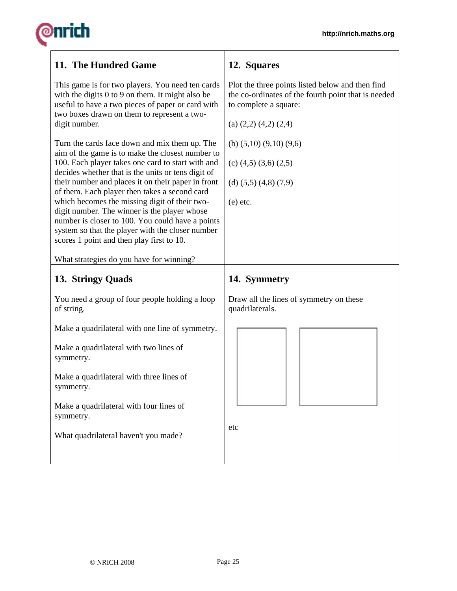# **@nrich**

| 11. The Hundred Game                                                                                                                                                                                                                                                                                                                                                                                                                                                                                                                                                      | 12. Squares                                                                                                                                                     |  |
|---------------------------------------------------------------------------------------------------------------------------------------------------------------------------------------------------------------------------------------------------------------------------------------------------------------------------------------------------------------------------------------------------------------------------------------------------------------------------------------------------------------------------------------------------------------------------|-----------------------------------------------------------------------------------------------------------------------------------------------------------------|--|
| This game is for two players. You need ten cards<br>with the digits 0 to 9 on them. It might also be<br>useful to have a two pieces of paper or card with<br>two boxes drawn on them to represent a two-<br>digit number.                                                                                                                                                                                                                                                                                                                                                 | Plot the three points listed below and then find<br>the co-ordinates of the fourth point that is needed<br>to complete a square:<br>(a) $(2,2)$ $(4,2)$ $(2,4)$ |  |
| Turn the cards face down and mix them up. The<br>aim of the game is to make the closest number to<br>100. Each player takes one card to start with and<br>decides whether that is the units or tens digit of<br>their number and places it on their paper in front<br>of them. Each player then takes a second card<br>which becomes the missing digit of their two-<br>digit number. The winner is the player whose<br>number is closer to 100. You could have a points<br>system so that the player with the closer number<br>scores 1 point and then play first to 10. | (b) $(5,10)$ $(9,10)$ $(9,6)$<br>(c) $(4,5)$ $(3,6)$ $(2,5)$<br>(d) $(5,5)$ $(4,8)$ $(7,9)$<br>$(e)$ etc.                                                       |  |
| What strategies do you have for winning?                                                                                                                                                                                                                                                                                                                                                                                                                                                                                                                                  |                                                                                                                                                                 |  |
| 13. Stringy Quads                                                                                                                                                                                                                                                                                                                                                                                                                                                                                                                                                         | 14. Symmetry                                                                                                                                                    |  |
| You need a group of four people holding a loop<br>of string.                                                                                                                                                                                                                                                                                                                                                                                                                                                                                                              | Draw all the lines of symmetry on these<br>quadrilaterals.                                                                                                      |  |
| Make a quadrilateral with one line of symmetry.                                                                                                                                                                                                                                                                                                                                                                                                                                                                                                                           |                                                                                                                                                                 |  |
| Make a quadrilateral with two lines of<br>symmetry.                                                                                                                                                                                                                                                                                                                                                                                                                                                                                                                       |                                                                                                                                                                 |  |
| Make a quadrilateral with three lines of<br>symmetry.                                                                                                                                                                                                                                                                                                                                                                                                                                                                                                                     |                                                                                                                                                                 |  |
| Make a quadrilateral with four lines of<br>symmetry.                                                                                                                                                                                                                                                                                                                                                                                                                                                                                                                      |                                                                                                                                                                 |  |
| What quadrilateral haven't you made?                                                                                                                                                                                                                                                                                                                                                                                                                                                                                                                                      | etc                                                                                                                                                             |  |

┱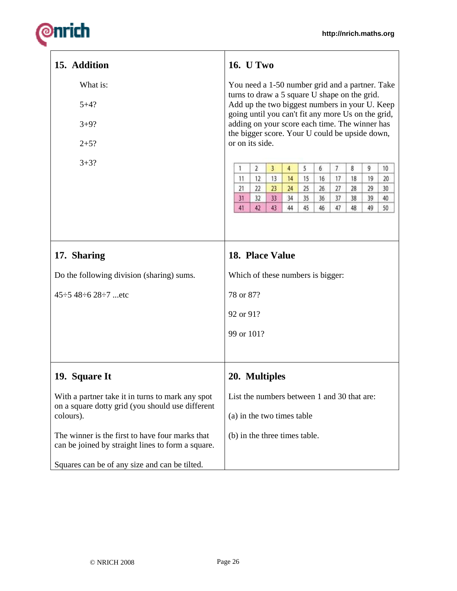# **@nrich**

| 15. Addition                                                                                                                                                                                                                                                                                | <b>16.</b> U Two                                                                                                                                                                                                                                                                                                                                                                                                                                                                                                                                                                                                                                                                       |  |  |
|---------------------------------------------------------------------------------------------------------------------------------------------------------------------------------------------------------------------------------------------------------------------------------------------|----------------------------------------------------------------------------------------------------------------------------------------------------------------------------------------------------------------------------------------------------------------------------------------------------------------------------------------------------------------------------------------------------------------------------------------------------------------------------------------------------------------------------------------------------------------------------------------------------------------------------------------------------------------------------------------|--|--|
| What is:<br>$5 + 4?$<br>$3 + 9?$<br>$2 + 5?$<br>$3 + 3?$                                                                                                                                                                                                                                    | You need a 1-50 number grid and a partner. Take<br>turns to draw a 5 square U shape on the grid.<br>Add up the two biggest numbers in your U. Keep<br>going until you can't fit any more Us on the grid,<br>adding on your score each time. The winner has<br>the bigger score. Your U could be upside down,<br>or on its side.<br>$\overline{7}$<br>8<br>9<br>$\overline{2}$<br>$\overline{3}$<br>5<br>6<br>10<br>1<br>$\overline{4}$<br>11<br>12<br>13<br>14<br>15<br>16<br>18<br>19<br>17<br>20<br>21<br>22<br>23<br>24<br>25<br>26<br>27<br>28<br>29<br>30<br>33<br>31<br>34<br>35<br>36<br>37<br>38<br>39<br>40<br>32<br>42<br>43<br>41<br>44<br>45<br>46<br>47<br>48<br>49<br>50 |  |  |
| 17. Sharing<br>Do the following division (sharing) sums.<br>$45 \div 5$ 48 $\div 6$ 28 $\div 7$ etc                                                                                                                                                                                         | 18. Place Value<br>Which of these numbers is bigger:<br>78 or 87?<br>92 or 91?<br>99 or 101?                                                                                                                                                                                                                                                                                                                                                                                                                                                                                                                                                                                           |  |  |
| 19. Square It<br>With a partner take it in turns to mark any spot<br>on a square dotty grid (you should use different<br>colours).<br>The winner is the first to have four marks that<br>can be joined by straight lines to form a square.<br>Squares can be of any size and can be tilted. | 20. Multiples<br>List the numbers between 1 and 30 that are:<br>(a) in the two times table<br>(b) in the three times table.                                                                                                                                                                                                                                                                                                                                                                                                                                                                                                                                                            |  |  |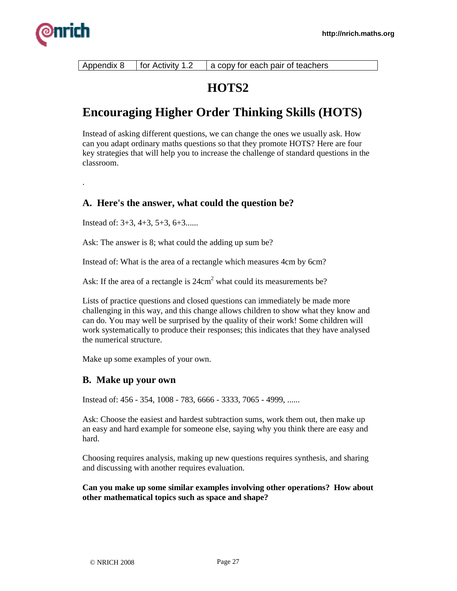

Appendix 8  $\vert$  for Activity 1.2  $\vert$  a copy for each pair of teachers

## **HOTS2**

## **Encouraging Higher Order Thinking Skills (HOTS)**

Instead of asking different questions, we can change the ones we usually ask. How can you adapt ordinary maths questions so that they promote HOTS? Here are four key strategies that will help you to increase the challenge of standard questions in the classroom.

.

## **A. Here's the answer, what could the question be?**

Instead of: 3+3, 4+3, 5+3, 6+3......

Ask: The answer is 8; what could the adding up sum be?

Instead of: What is the area of a rectangle which measures 4cm by 6cm?

Ask: If the area of a rectangle is  $24 \text{cm}^2$  what could its measurements be?

Lists of practice questions and closed questions can immediately be made more challenging in this way, and this change allows children to show what they know and can do. You may well be surprised by the quality of their work! Some children will work systematically to produce their responses; this indicates that they have analysed the numerical structure.

Make up some examples of your own.

## **B. Make up your own**

Instead of: 456 - 354, 1008 - 783, 6666 - 3333, 7065 - 4999, ......

Ask: Choose the easiest and hardest subtraction sums, work them out, then make up an easy and hard example for someone else, saying why you think there are easy and hard.

Choosing requires analysis, making up new questions requires synthesis, and sharing and discussing with another requires evaluation.

**Can you make up some similar examples involving other operations? How about other mathematical topics such as space and shape?**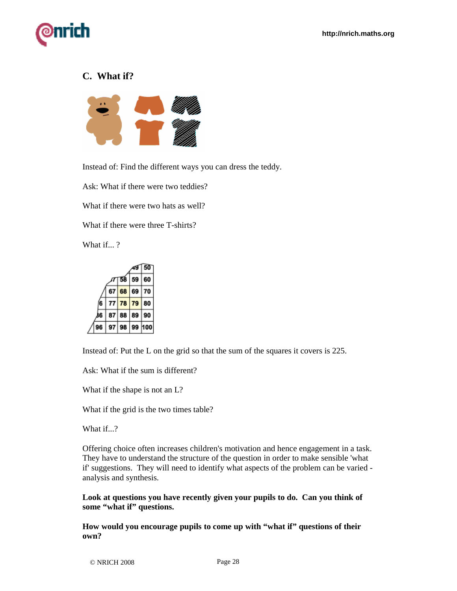

## **C. What if?**



Instead of: Find the different ways you can dress the teddy.

Ask: What if there were two teddies?

What if there were two hats as well?

What if there were three T-shirts?

What if...?



Instead of: Put the L on the grid so that the sum of the squares it covers is 225.

Ask: What if the sum is different?

What if the shape is not an L?

What if the grid is the two times table?

What if...?

Offering choice often increases children's motivation and hence engagement in a task. They have to understand the structure of the question in order to make sensible 'what if' suggestions. They will need to identify what aspects of the problem can be varied analysis and synthesis.

**Look at questions you have recently given your pupils to do. Can you think of some "what if" questions.** 

**How would you encourage pupils to come up with "what if" questions of their own?**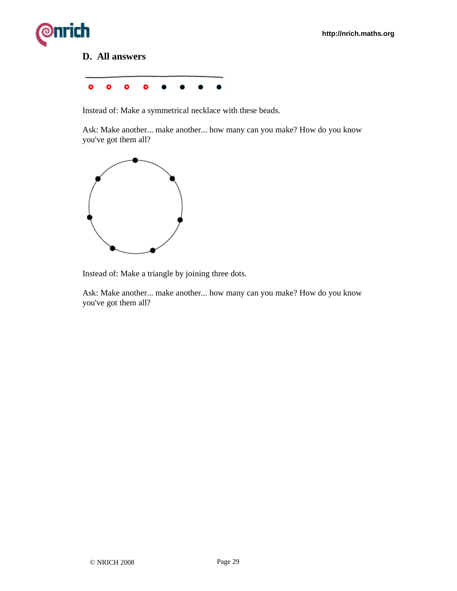# ìrich

## **D. All answers**



Instead of: Make a symmetrical necklace with these beads.

Ask: Make another... make another... how many can you make? How do you know you've got them all?



Instead of: Make a triangle by joining three dots.

Ask: Make another... make another... how many can you make? How do you know you've got them all?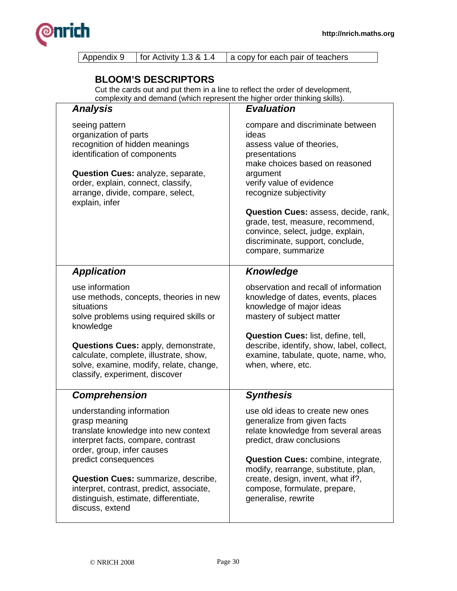

| Appendix 9   for Activity 1.3 & 1.4 | a copy for each pair of teachers |
|-------------------------------------|----------------------------------|
|                                     |                                  |

## **BLOOM'S DESCRIPTORS**

Cut the cards out and put them in a line to reflect the order of development, complexity and demand (which represent the higher order thinking skills).

| <b>Analysis</b>                                                                                                                                                                                                                                                                                                                      | <b>Evaluation</b>                                                                                                                                                                                                                                                                                                                                                             |
|--------------------------------------------------------------------------------------------------------------------------------------------------------------------------------------------------------------------------------------------------------------------------------------------------------------------------------------|-------------------------------------------------------------------------------------------------------------------------------------------------------------------------------------------------------------------------------------------------------------------------------------------------------------------------------------------------------------------------------|
| seeing pattern<br>organization of parts<br>recognition of hidden meanings<br>identification of components<br>Question Cues: analyze, separate,<br>order, explain, connect, classify,<br>arrange, divide, compare, select,<br>explain, infer                                                                                          | compare and discriminate between<br>ideas<br>assess value of theories,<br>presentations<br>make choices based on reasoned<br>argument<br>verify value of evidence<br>recognize subjectivity<br><b>Question Cues: assess, decide, rank,</b><br>grade, test, measure, recommend,<br>convince, select, judge, explain,<br>discriminate, support, conclude,<br>compare, summarize |
| <b>Application</b>                                                                                                                                                                                                                                                                                                                   | <b>Knowledge</b>                                                                                                                                                                                                                                                                                                                                                              |
| use information<br>use methods, concepts, theories in new<br>situations<br>solve problems using required skills or<br>knowledge<br>Questions Cues: apply, demonstrate,<br>calculate, complete, illustrate, show,<br>solve, examine, modify, relate, change,<br>classify, experiment, discover                                        | observation and recall of information<br>knowledge of dates, events, places<br>knowledge of major ideas<br>mastery of subject matter<br>Question Cues: list, define, tell,<br>describe, identify, show, label, collect,<br>examine, tabulate, quote, name, who,<br>when, where, etc.                                                                                          |
| <b>Comprehension</b>                                                                                                                                                                                                                                                                                                                 | <b>Synthesis</b>                                                                                                                                                                                                                                                                                                                                                              |
| understanding information<br>grasp meaning<br>translate knowledge into new context<br>interpret facts, compare, contrast<br>order, group, infer causes<br>predict consequences<br><b>Question Cues: summarize, describe,</b><br>interpret, contrast, predict, associate,<br>distinguish, estimate, differentiate,<br>discuss, extend | use old ideas to create new ones<br>generalize from given facts<br>relate knowledge from several areas<br>predict, draw conclusions<br>Question Cues: combine, integrate,<br>modify, rearrange, substitute, plan,<br>create, design, invent, what if?,<br>compose, formulate, prepare,<br>generalise, rewrite                                                                 |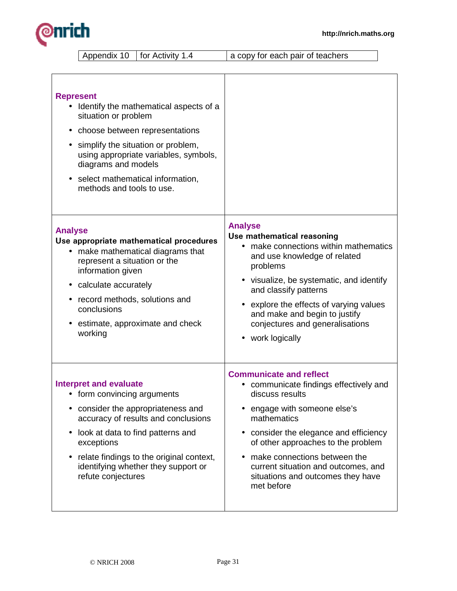

Appendix 10 | for Activity 1.4 | a copy for each pair of teachers

| <b>Represent</b><br>Identify the mathematical aspects of a<br>situation or problem<br>choose between representations<br>simplify the situation or problem,<br>using appropriate variables, symbols,<br>diagrams and models<br>select mathematical information,<br>methods and tools to use. |                                          |
|---------------------------------------------------------------------------------------------------------------------------------------------------------------------------------------------------------------------------------------------------------------------------------------------|------------------------------------------|
| <b>Analyse</b>                                                                                                                                                                                                                                                                              | <b>Analyse</b>                           |
| Use appropriate mathematical procedures                                                                                                                                                                                                                                                     | Use mathematical reasoning               |
| • make mathematical diagrams that                                                                                                                                                                                                                                                           | • make connections within mathematics    |
| represent a situation or the                                                                                                                                                                                                                                                                | and use knowledge of related             |
| information given                                                                                                                                                                                                                                                                           | problems                                 |
| calculate accurately                                                                                                                                                                                                                                                                        | • visualize, be systematic, and identify |
| record methods, solutions and                                                                                                                                                                                                                                                               | and classify patterns                    |
| conclusions                                                                                                                                                                                                                                                                                 | • explore the effects of varying values  |
| estimate, approximate and check                                                                                                                                                                                                                                                             | and make and begin to justify            |
| $\bullet$                                                                                                                                                                                                                                                                                   | conjectures and generalisations          |
| working                                                                                                                                                                                                                                                                                     | • work logically                         |
| <b>Interpret and evaluate</b>                                                                                                                                                                                                                                                               | <b>Communicate and reflect</b>           |
| • form convincing arguments                                                                                                                                                                                                                                                                 | communicate findings effectively and     |
| • consider the appropriateness and                                                                                                                                                                                                                                                          | discuss results                          |
| accuracy of results and conclusions                                                                                                                                                                                                                                                         | • engage with someone else's             |
| look at data to find patterns and                                                                                                                                                                                                                                                           | mathematics                              |
| $\bullet$                                                                                                                                                                                                                                                                                   | consider the elegance and efficiency     |
| exceptions                                                                                                                                                                                                                                                                                  | of other approaches to the problem       |
| relate findings to the original context,                                                                                                                                                                                                                                                    | make connections between the             |
| $\bullet$                                                                                                                                                                                                                                                                                   | current situation and outcomes, and      |
| identifying whether they support or                                                                                                                                                                                                                                                         | situations and outcomes they have        |
| refute conjectures                                                                                                                                                                                                                                                                          | met before                               |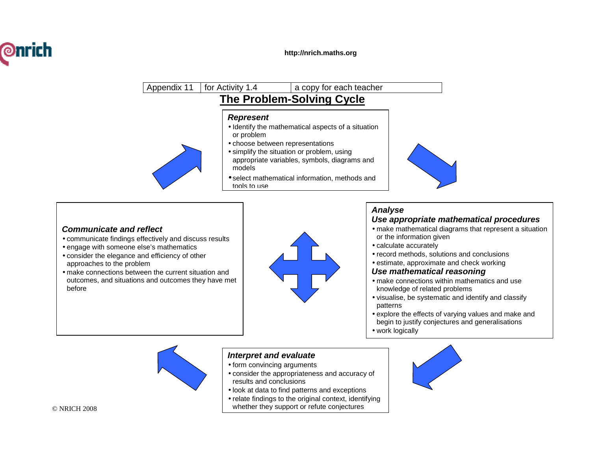



#### **Communicate and reflect**

- communicate findings effectively and discuss results
- engage with someone else's mathematics
- consider the elegance and efficiency of other approaches to the problem
- make connections between the current situation and outcomes, and situations and outcomes they have metbefore



#### **Analyse Use appropriate mathematical procedures**

- make mathematical diagrams that represent a situation or the information given
- calculate accurately
- record methods, solutions and conclusions
- estimate, approximate and check working **Use mathematical reasoning**

#### • make connections within mathematics and use knowledge of related problems

- visualise, be systematic and identify and classifypatterns
- explore the effects of varying values and make andbegin to justify conjectures and generalisations
- work logically



#### **Interpret and evaluate**

- form convincing arguments
- consider the appropriateness and accuracy of results and conclusions
- look at data to find patterns and exceptions
- whether they support or refute conjectures • relate findings to the original context, identifying



© NRICH 2008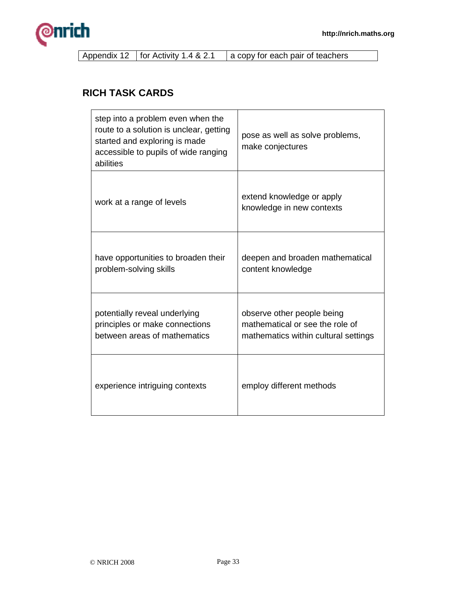

Appendix 12 | for Activity 1.4 & 2.1 | a copy for each pair of teachers

## **RICH TASK CARDS**

| step into a problem even when the<br>route to a solution is unclear, getting<br>started and exploring is made<br>accessible to pupils of wide ranging<br>abilities | pose as well as solve problems,<br>make conjectures                                                   |
|--------------------------------------------------------------------------------------------------------------------------------------------------------------------|-------------------------------------------------------------------------------------------------------|
| work at a range of levels                                                                                                                                          | extend knowledge or apply<br>knowledge in new contexts                                                |
| have opportunities to broaden their<br>problem-solving skills                                                                                                      | deepen and broaden mathematical<br>content knowledge                                                  |
| potentially reveal underlying<br>principles or make connections<br>between areas of mathematics                                                                    | observe other people being<br>mathematical or see the role of<br>mathematics within cultural settings |
| experience intriguing contexts                                                                                                                                     | employ different methods                                                                              |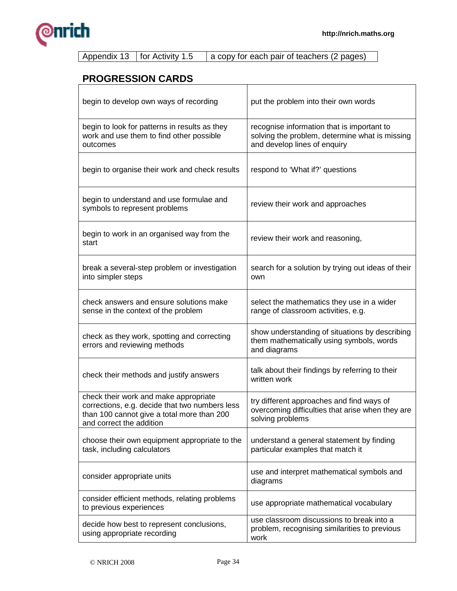

|  | Appendix 13   for Activity 1.5 | a copy for each pair of teachers (2 pages) |
|--|--------------------------------|--------------------------------------------|
|  |                                |                                            |

## **PROGRESSION CARDS**

| begin to develop own ways of recording                                                                                                                            | put the problem into their own words                                                                                         |
|-------------------------------------------------------------------------------------------------------------------------------------------------------------------|------------------------------------------------------------------------------------------------------------------------------|
| begin to look for patterns in results as they<br>work and use them to find other possible<br>outcomes                                                             | recognise information that is important to<br>solving the problem, determine what is missing<br>and develop lines of enquiry |
| begin to organise their work and check results                                                                                                                    | respond to 'What if?' questions                                                                                              |
| begin to understand and use formulae and<br>symbols to represent problems                                                                                         | review their work and approaches                                                                                             |
| begin to work in an organised way from the<br>start                                                                                                               | review their work and reasoning,                                                                                             |
| break a several-step problem or investigation<br>into simpler steps                                                                                               | search for a solution by trying out ideas of their<br>own                                                                    |
| check answers and ensure solutions make<br>sense in the context of the problem                                                                                    | select the mathematics they use in a wider<br>range of classroom activities, e.g.                                            |
| check as they work, spotting and correcting<br>errors and reviewing methods                                                                                       | show understanding of situations by describing<br>them mathematically using symbols, words<br>and diagrams                   |
| check their methods and justify answers                                                                                                                           | talk about their findings by referring to their<br>written work                                                              |
| check their work and make appropriate<br>corrections, e.g. decide that two numbers less<br>than 100 cannot give a total more than 200<br>and correct the addition | try different approaches and find ways of<br>overcoming difficulties that arise when they are<br>solving problems            |
| choose their own equipment appropriate to the<br>task, including calculators                                                                                      | understand a general statement by finding<br>particular examples that match it                                               |
| consider appropriate units                                                                                                                                        | use and interpret mathematical symbols and<br>diagrams                                                                       |
| consider efficient methods, relating problems<br>to previous experiences                                                                                          | use appropriate mathematical vocabulary                                                                                      |
| decide how best to represent conclusions,<br>using appropriate recording                                                                                          | use classroom discussions to break into a<br>problem, recognising similarities to previous<br>work                           |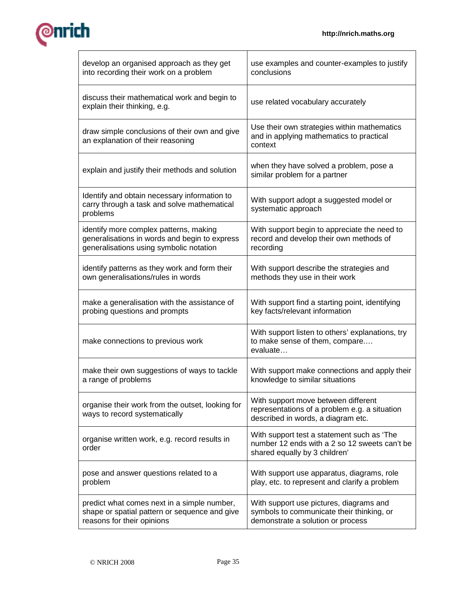

| develop an organised approach as they get                                                               | use examples and counter-examples to justify                                                                                 |  |
|---------------------------------------------------------------------------------------------------------|------------------------------------------------------------------------------------------------------------------------------|--|
| into recording their work on a problem                                                                  | conclusions                                                                                                                  |  |
| discuss their mathematical work and begin to<br>explain their thinking, e.g.                            | use related vocabulary accurately                                                                                            |  |
| draw simple conclusions of their own and give<br>an explanation of their reasoning                      | Use their own strategies within mathematics<br>and in applying mathematics to practical<br>context                           |  |
| explain and justify their methods and solution                                                          | when they have solved a problem, pose a<br>similar problem for a partner                                                     |  |
| Identify and obtain necessary information to<br>carry through a task and solve mathematical<br>problems | With support adopt a suggested model or<br>systematic approach                                                               |  |
| identify more complex patterns, making                                                                  | With support begin to appreciate the need to                                                                                 |  |
| generalisations in words and begin to express                                                           | record and develop their own methods of                                                                                      |  |
| generalisations using symbolic notation                                                                 | recording                                                                                                                    |  |
| identify patterns as they work and form their                                                           | With support describe the strategies and                                                                                     |  |
| own generalisations/rules in words                                                                      | methods they use in their work                                                                                               |  |
| make a generalisation with the assistance of                                                            | With support find a starting point, identifying                                                                              |  |
| probing questions and prompts                                                                           | key facts/relevant information                                                                                               |  |
| make connections to previous work                                                                       | With support listen to others' explanations, try<br>to make sense of them, compare<br>evaluate                               |  |
| make their own suggestions of ways to tackle                                                            | With support make connections and apply their                                                                                |  |
| a range of problems                                                                                     | knowledge to similar situations                                                                                              |  |
| organise their work from the outset, looking for<br>ways to record systematically                       | With support move between different<br>representations of a problem e.g. a situation<br>described in words, a diagram etc.   |  |
| organise written work, e.g. record results in<br>order                                                  | With support test a statement such as 'The<br>number 12 ends with a 2 so 12 sweets can't be<br>shared equally by 3 children' |  |
| pose and answer questions related to a                                                                  | With support use apparatus, diagrams, role                                                                                   |  |
| problem                                                                                                 | play, etc. to represent and clarify a problem                                                                                |  |
| predict what comes next in a simple number,                                                             | With support use pictures, diagrams and                                                                                      |  |
| shape or spatial pattern or sequence and give                                                           | symbols to communicate their thinking, or                                                                                    |  |
| reasons for their opinions                                                                              | demonstrate a solution or process                                                                                            |  |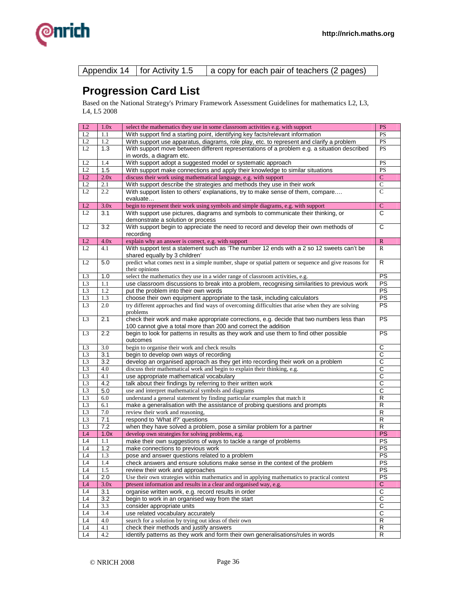

| Appendix 14   for Activity 1.5<br>a copy for each pair of teachers (2 pages) |
|------------------------------------------------------------------------------|
|------------------------------------------------------------------------------|

## **Progression Card List**

Based on the National Strategy's Primary Framework Assessment Guidelines for mathematics L2, L3, L4, L5 2008

| L2              | 1.0x             | select the mathematics they use in some classroom activities e.g. with support                        | <b>PS</b>             |
|-----------------|------------------|-------------------------------------------------------------------------------------------------------|-----------------------|
| L2              | 1.1              | With support find a starting point, identifying key facts/relevant information                        | <b>PS</b>             |
| L2              | 1.2              | With support use apparatus, diagrams, role play, etc. to represent and clarify a problem              | <b>PS</b>             |
| L2              | 1.3              | With support move between different representations of a problem e.g. a situation described           | <b>PS</b>             |
|                 |                  | in words, a diagram etc.                                                                              |                       |
| L2              | 1.4              | With support adopt a suggested model or systematic approach                                           | <b>PS</b>             |
| $\rm L2$        | 1.5              | With support make connections and apply their knowledge to similar situations                         | <b>PS</b>             |
| L2              | 2.0x             | discuss their work using mathematical language, e.g. with support                                     | $\mathcal{C}$         |
| L2              | 2.1              | With support describe the strategies and methods they use in their work                               | $\mathsf{C}$          |
| L2              | 2.2              | With support listen to others' explanations, try to make sense of them, compare                       | $\overline{C}$        |
|                 |                  | evaluate                                                                                              |                       |
| L2              | 3.0x             | begin to represent their work using symbols and simple diagrams, e.g. with support                    | $\mathbf C$           |
| L <sub>2</sub>  | 3.1              | With support use pictures, diagrams and symbols to communicate their thinking, or                     | С                     |
|                 |                  | demonstrate a solution or process                                                                     |                       |
| L2              | 3.2              | With support begin to appreciate the need to record and develop their own methods of                  | C                     |
|                 |                  | recording                                                                                             |                       |
| L2              | 4.0x             | explain why an answer is correct, e.g. with support                                                   | $\mathbb{R}$          |
| L2              | 4.1              | With support test a statement such as 'The number 12 ends with a 2 so 12 sweets can't be              | $\mathbb{R}$          |
|                 |                  | shared equally by 3 children'                                                                         |                       |
| L <sub>2</sub>  | 5.0              | predict what comes next in a simple number, shape or spatial pattern or sequence and give reasons for | R                     |
|                 |                  | their opinions                                                                                        |                       |
| L3              | 1.0              | select the mathematics they use in a wider range of classroom activities, e.g.                        | PS                    |
| L <sub>3</sub>  | $1.1\,$          | use classroom discussions to break into a problem, recognising similarities to previous work          | PS                    |
| L <sub>3</sub>  | 1.2              | put the problem into their own words                                                                  | <b>PS</b>             |
| L <sub>3</sub>  | 1.3              | choose their own equipment appropriate to the task, including calculators                             | PS                    |
| L3              | 2.0              | try different approaches and find ways of overcoming difficulties that arise when they are solving    | <b>PS</b>             |
|                 |                  | problems                                                                                              |                       |
| L <sub>3</sub>  | 2.1              | check their work and make appropriate corrections, e.g. decide that two numbers less than             | <b>PS</b>             |
|                 |                  | 100 cannot give a total more than 200 and correct the addition                                        |                       |
| L <sub>3</sub>  | 2.2              | begin to look for patterns in results as they work and use them to find other possible                | <b>PS</b>             |
|                 |                  | outcomes                                                                                              |                       |
| L <sub>3</sub>  | 3.0              | begin to organise their work and check results                                                        | C                     |
| L <sub>3</sub>  | 3.1              | begin to develop own ways of recording                                                                | C                     |
| L3              | 3.2              | develop an organised approach as they get into recording their work on a problem                      | C                     |
| L <sub>3</sub>  | 4.0              | discuss their mathematical work and begin to explain their thinking, e.g.                             | C                     |
| L3              | 4.1              | use appropriate mathematical vocabulary                                                               | $\overline{C}$        |
| L <sub>3</sub>  | 4.2              | talk about their findings by referring to their written work                                          | C                     |
| L3              | $5.0$            | use and interpret mathematical symbols and diagrams                                                   | $\overline{\text{c}}$ |
| L3              | 6.0              | understand a general statement by finding particular examples that match it                           | R                     |
| L <sub>3</sub>  | 6.1              | make a generalisation with the assistance of probing questions and prompts                            | R                     |
| L <sub>3</sub>  | 7.0              | review their work and reasoning,                                                                      | R                     |
| L <sub>3</sub>  | 7.1              | respond to 'What if?' questions                                                                       | R                     |
| L <sub>3</sub>  | 7.2              | when they have solved a problem, pose a similar problem for a partner                                 | $\overline{R}$        |
| $\mathbf{L}4$   | 1.0x             | develop own strategies for solving problems, e.g.                                                     | PS                    |
| $\mathbf{L}4$   | 1.1              | make their own suggestions of ways to tackle a range of problems                                      | PS                    |
| L <sub>4</sub>  | 1.2              | make connections to previous work                                                                     | PS                    |
| $L\overline{4}$ | 1.3              | pose and answer questions related to a problem                                                        | PS                    |
| L <sub>4</sub>  | 1.4              | check answers and ensure solutions make sense in the context of the problem                           | PS                    |
| L <sub>4</sub>  | 1.5              | review their work and approaches                                                                      | <b>PS</b>             |
| L <sub>4</sub>  | $\overline{2.0}$ | Use their own strategies within mathematics and in applying mathematics to practical context          | PS                    |
| L4              | 3.0x             | present information and results in a clear and organised way, e.g.                                    | $\mathbf{C}$          |
| L <sub>4</sub>  | 3.1              | organise written work, e.g. record results in order                                                   | C                     |
| L <sub>4</sub>  | 3.2              | begin to work in an organised way from the start                                                      | C                     |
| $\mathbf{L}4$   | 3.3              | consider appropriate units                                                                            | $\overline{\text{c}}$ |
| $L\overline{4}$ | 3.4              | use related vocabulary accurately                                                                     | C                     |
| L <sub>4</sub>  | 4.0              | search for a solution by trying out ideas of their own                                                | R                     |
| L4              | 4.1              | check their methods and justify answers                                                               | R                     |
| L4              | 4.2              | identify patterns as they work and form their own generalisations/rules in words                      | R                     |
|                 |                  |                                                                                                       |                       |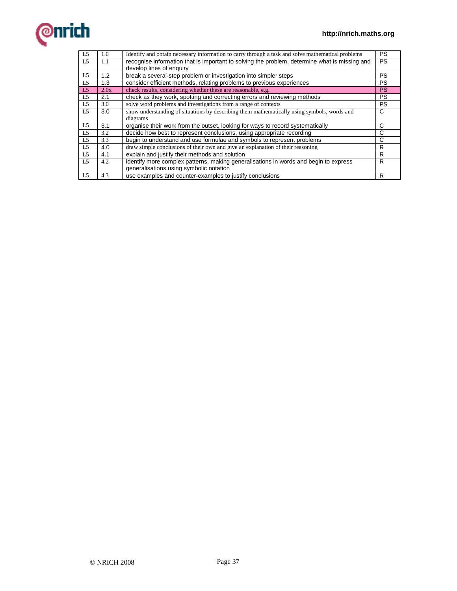

| L <sub>5</sub> | 1.0  | Identify and obtain necessary information to carry through a task and solve mathematical problems | <b>PS</b> |
|----------------|------|---------------------------------------------------------------------------------------------------|-----------|
| L5             | 1.1  | recognise information that is important to solving the problem, determine what is missing and     | <b>PS</b> |
|                |      | develop lines of enquiry                                                                          |           |
| L5             | 1.2  | break a several-step problem or investigation into simpler steps                                  | <b>PS</b> |
| L5             | 1.3  | consider efficient methods, relating problems to previous experiences                             | <b>PS</b> |
| L <sub>5</sub> | 2.0x | check results, considering whether these are reasonable, e.g.                                     | <b>PS</b> |
| L <sub>5</sub> | 2.1  | check as they work, spotting and correcting errors and reviewing methods                          | <b>PS</b> |
| L5             | 3.0  | solve word problems and investigations from a range of contexts                                   | <b>PS</b> |
| L <sub>5</sub> | 3.0  | show understanding of situations by describing them mathematically using symbols, words and       | C         |
|                |      | diagrams                                                                                          |           |
| L5             | 3.1  | organise their work from the outset, looking for ways to record systematically                    | C         |
| L5             | 3.2  | decide how best to represent conclusions, using appropriate recording                             | C         |
| L <sub>5</sub> | 3.3  | begin to understand and use formulae and symbols to represent problems                            | C         |
| L5             | 4.0  | draw simple conclusions of their own and give an explanation of their reasoning                   | R         |
| L5             | 4.1  | explain and justify their methods and solution                                                    | R         |
| L5             | 4.2  | identify more complex patterns, making generalisations in words and begin to express              | R         |
|                |      | generalisations using symbolic notation                                                           |           |
| L5             | 4.3  | use examples and counter-examples to justify conclusions                                          | R         |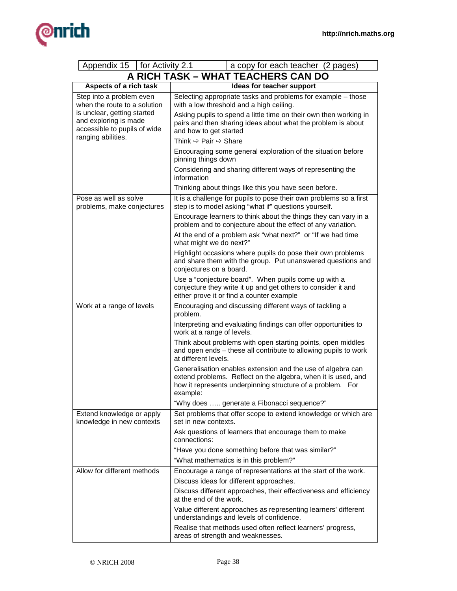

| Appendix 15<br>for Activity 2.1<br>a copy for each teacher (2 pages)                                       |                                                                                                                                                                                                        |  |  |
|------------------------------------------------------------------------------------------------------------|--------------------------------------------------------------------------------------------------------------------------------------------------------------------------------------------------------|--|--|
|                                                                                                            | A RICH TASK - WHAT TEACHERS CAN DO                                                                                                                                                                     |  |  |
| Aspects of a rich task                                                                                     | Ideas for teacher support                                                                                                                                                                              |  |  |
| Step into a problem even<br>when the route to a solution                                                   | Selecting appropriate tasks and problems for example - those<br>with a low threshold and a high ceiling.                                                                                               |  |  |
| is unclear, getting started<br>and exploring is made<br>accessible to pupils of wide<br>ranging abilities. | Asking pupils to spend a little time on their own then working in<br>pairs and then sharing ideas about what the problem is about<br>and how to get started                                            |  |  |
|                                                                                                            | Think $\Leftrightarrow$ Pair $\Leftrightarrow$ Share                                                                                                                                                   |  |  |
|                                                                                                            | Encouraging some general exploration of the situation before<br>pinning things down                                                                                                                    |  |  |
|                                                                                                            | Considering and sharing different ways of representing the<br>information                                                                                                                              |  |  |
|                                                                                                            | Thinking about things like this you have seen before.                                                                                                                                                  |  |  |
| Pose as well as solve<br>problems, make conjectures                                                        | It is a challenge for pupils to pose their own problems so a first<br>step is to model asking "what if" questions yourself.                                                                            |  |  |
|                                                                                                            | Encourage learners to think about the things they can vary in a<br>problem and to conjecture about the effect of any variation.                                                                        |  |  |
|                                                                                                            | At the end of a problem ask "what next?" or "If we had time<br>what might we do next?"                                                                                                                 |  |  |
|                                                                                                            | Highlight occasions where pupils do pose their own problems<br>and share them with the group. Put unanswered questions and<br>conjectures on a board.                                                  |  |  |
|                                                                                                            | Use a "conjecture board". When pupils come up with a<br>conjecture they write it up and get others to consider it and<br>either prove it or find a counter example                                     |  |  |
| Work at a range of levels                                                                                  | Encouraging and discussing different ways of tackling a<br>problem.                                                                                                                                    |  |  |
|                                                                                                            | Interpreting and evaluating findings can offer opportunities to<br>work at a range of levels.                                                                                                          |  |  |
|                                                                                                            | Think about problems with open starting points, open middles<br>and open ends - these all contribute to allowing pupils to work<br>at different levels.                                                |  |  |
|                                                                                                            | Generalisation enables extension and the use of algebra can<br>extend problems. Reflect on the algebra, when it is used, and<br>how it represents underpinning structure of a problem. For<br>example: |  |  |
|                                                                                                            | "Why does  generate a Fibonacci sequence?"                                                                                                                                                             |  |  |
| Extend knowledge or apply<br>knowledge in new contexts                                                     | Set problems that offer scope to extend knowledge or which are<br>set in new contexts.                                                                                                                 |  |  |
|                                                                                                            | Ask questions of learners that encourage them to make<br>connections:                                                                                                                                  |  |  |
|                                                                                                            | "Have you done something before that was similar?"                                                                                                                                                     |  |  |
|                                                                                                            | "What mathematics is in this problem?"                                                                                                                                                                 |  |  |
| Allow for different methods                                                                                | Encourage a range of representations at the start of the work.                                                                                                                                         |  |  |
|                                                                                                            | Discuss ideas for different approaches.                                                                                                                                                                |  |  |
|                                                                                                            | Discuss different approaches, their effectiveness and efficiency<br>at the end of the work.                                                                                                            |  |  |
|                                                                                                            | Value different approaches as representing learners' different<br>understandings and levels of confidence.                                                                                             |  |  |
|                                                                                                            | Realise that methods used often reflect learners' progress,<br>areas of strength and weaknesses.                                                                                                       |  |  |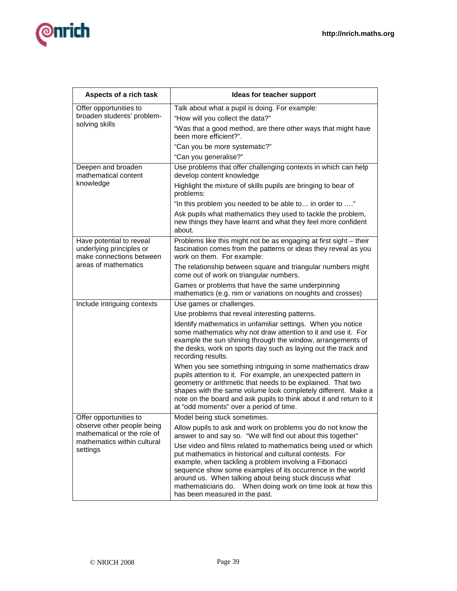

| Aspects of a rich task                                                                   | Ideas for teacher support                                                                                                                                                                                                                                                                                                                                                                                      |  |  |
|------------------------------------------------------------------------------------------|----------------------------------------------------------------------------------------------------------------------------------------------------------------------------------------------------------------------------------------------------------------------------------------------------------------------------------------------------------------------------------------------------------------|--|--|
| Offer opportunities to                                                                   | Talk about what a pupil is doing. For example:                                                                                                                                                                                                                                                                                                                                                                 |  |  |
| broaden students' problem-                                                               | "How will you collect the data?"                                                                                                                                                                                                                                                                                                                                                                               |  |  |
| solving skills                                                                           | "Was that a good method, are there other ways that might have<br>been more efficient?".                                                                                                                                                                                                                                                                                                                        |  |  |
|                                                                                          | "Can you be more systematic?"                                                                                                                                                                                                                                                                                                                                                                                  |  |  |
|                                                                                          | "Can you generalise?"                                                                                                                                                                                                                                                                                                                                                                                          |  |  |
| Deepen and broaden<br>mathematical content                                               | Use problems that offer challenging contexts in which can help<br>develop content knowledge                                                                                                                                                                                                                                                                                                                    |  |  |
| knowledge                                                                                | Highlight the mixture of skills pupils are bringing to bear of<br>problems:                                                                                                                                                                                                                                                                                                                                    |  |  |
|                                                                                          | "In this problem you needed to be able to in order to "                                                                                                                                                                                                                                                                                                                                                        |  |  |
|                                                                                          | Ask pupils what mathematics they used to tackle the problem,<br>new things they have learnt and what they feel more confident<br>about.                                                                                                                                                                                                                                                                        |  |  |
| Have potential to reveal<br>underlying principles or<br>make connections between         | Problems like this might not be as engaging at first sight - their<br>fascination comes from the patterns or ideas they reveal as you<br>work on them. For example:                                                                                                                                                                                                                                            |  |  |
| areas of mathematics                                                                     | The relationship between square and triangular numbers might<br>come out of work on triangular numbers.                                                                                                                                                                                                                                                                                                        |  |  |
|                                                                                          | Games or problems that have the same underpinning<br>mathematics (e.g. nim or variations on noughts and crosses)                                                                                                                                                                                                                                                                                               |  |  |
| Include intriguing contexts                                                              | Use games or challenges.                                                                                                                                                                                                                                                                                                                                                                                       |  |  |
|                                                                                          | Use problems that reveal interesting patterns.                                                                                                                                                                                                                                                                                                                                                                 |  |  |
|                                                                                          | Identify mathematics in unfamiliar settings. When you notice<br>some mathematics why not draw attention to it and use it. For<br>example the sun shining through the window, arrangements of<br>the desks, work on sports day such as laying out the track and<br>recording results.                                                                                                                           |  |  |
|                                                                                          | When you see something intriguing in some mathematics draw<br>pupils attention to it. For example, an unexpected pattern in<br>geometry or arithmetic that needs to be explained. That two<br>shapes with the same volume look completely different. Make a<br>note on the board and ask pupils to think about it and return to it<br>at "odd moments" over a period of time.                                  |  |  |
| Offer opportunities to                                                                   | Model being stuck sometimes.                                                                                                                                                                                                                                                                                                                                                                                   |  |  |
| observe other people being<br>mathematical or the role of<br>mathematics within cultural | Allow pupils to ask and work on problems you do not know the<br>answer to and say so. "We will find out about this together"                                                                                                                                                                                                                                                                                   |  |  |
| settings                                                                                 | Use video and films related to mathematics being used or which<br>put mathematics in historical and cultural contests. For<br>example, when tackling a problem involving a Fibonacci<br>sequence show some examples of its occurrence in the world<br>around us. When talking about being stuck discuss what<br>mathematicians do.  When doing work on time look at how this<br>has been measured in the past. |  |  |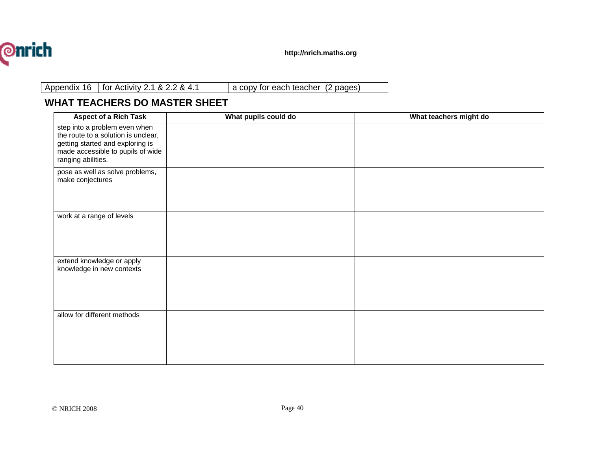

Appendix 16 for Activity 2.1 & 2.2 & 4.1 a copy for each teacher (2 pages)

## **WHAT TEACHERS DO MASTER SHEET**

| <b>Aspect of a Rich Task</b>                                                                                                                                        | What pupils could do | What teachers might do |
|---------------------------------------------------------------------------------------------------------------------------------------------------------------------|----------------------|------------------------|
| step into a problem even when<br>the route to a solution is unclear,<br>getting started and exploring is<br>made accessible to pupils of wide<br>ranging abilities. |                      |                        |
| pose as well as solve problems,<br>make conjectures                                                                                                                 |                      |                        |
| work at a range of levels                                                                                                                                           |                      |                        |
| extend knowledge or apply<br>knowledge in new contexts                                                                                                              |                      |                        |
| allow for different methods                                                                                                                                         |                      |                        |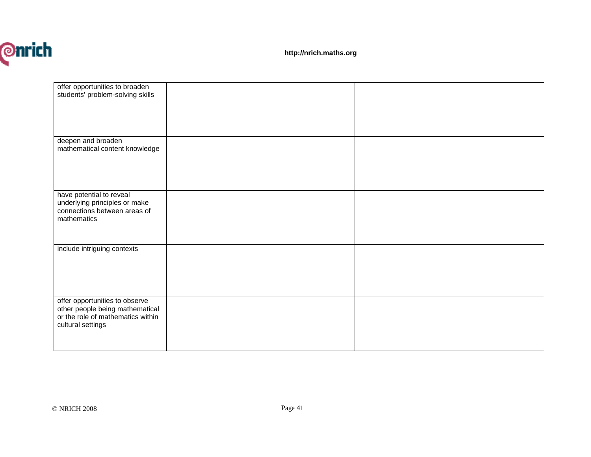

**http://nrich.maths.org**

| offer opportunities to broaden    |  |
|-----------------------------------|--|
|                                   |  |
| students' problem-solving skills  |  |
|                                   |  |
|                                   |  |
|                                   |  |
|                                   |  |
|                                   |  |
|                                   |  |
| deepen and broaden                |  |
| mathematical content knowledge    |  |
|                                   |  |
|                                   |  |
|                                   |  |
|                                   |  |
|                                   |  |
|                                   |  |
| have potential to reveal          |  |
|                                   |  |
| underlying principles or make     |  |
| connections between areas of      |  |
| mathematics                       |  |
|                                   |  |
|                                   |  |
|                                   |  |
|                                   |  |
| include intriguing contexts       |  |
|                                   |  |
|                                   |  |
|                                   |  |
|                                   |  |
|                                   |  |
|                                   |  |
|                                   |  |
| offer opportunities to observe    |  |
| other people being mathematical   |  |
| or the role of mathematics within |  |
|                                   |  |
| cultural settings                 |  |
|                                   |  |
|                                   |  |
|                                   |  |
|                                   |  |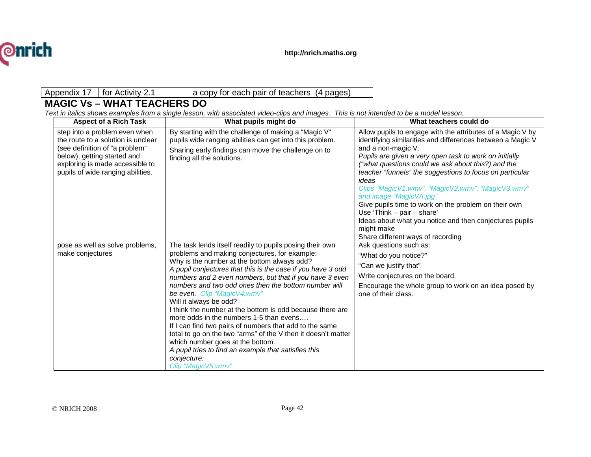

#### Appendix 17 | for Activity 2.1 a copy for each pair of teachers (4 pages)

## **MAGIC Vs – WHAT TEACHERS DO**

Text in italics shows examples from a single lesson, with associated video-clips and images. This is not intended to be a model lesson.

| <b>Aspect of a Rich Task</b>                                                                                                                                                                                 | What pupils might do                                                                                                                                                                                                                                                                                                                                                                                                                                                                                                                                                                                                                                                                                                                                                     | What teachers could do                                                                                                                                                                                                                                                                                                                                                                                                                                                                                                                                                                                                         |
|--------------------------------------------------------------------------------------------------------------------------------------------------------------------------------------------------------------|--------------------------------------------------------------------------------------------------------------------------------------------------------------------------------------------------------------------------------------------------------------------------------------------------------------------------------------------------------------------------------------------------------------------------------------------------------------------------------------------------------------------------------------------------------------------------------------------------------------------------------------------------------------------------------------------------------------------------------------------------------------------------|--------------------------------------------------------------------------------------------------------------------------------------------------------------------------------------------------------------------------------------------------------------------------------------------------------------------------------------------------------------------------------------------------------------------------------------------------------------------------------------------------------------------------------------------------------------------------------------------------------------------------------|
| step into a problem even when<br>the route to a solution is unclear<br>(see definition of "a problem"<br>below), getting started and<br>exploring is made accessible to<br>pupils of wide ranging abilities. | By starting with the challenge of making a "Magic V"<br>pupils wide ranging abilities can get into this problem.<br>Sharing early findings can move the challenge on to<br>finding all the solutions.                                                                                                                                                                                                                                                                                                                                                                                                                                                                                                                                                                    | Allow pupils to engage with the attributes of a Magic V by<br>identifying similarities and differences between a Magic V<br>and a non-magic V.<br>Pupils are given a very open task to work on initially<br>("what questions could we ask about this?) and the<br>teacher "funnels" the suggestions to focus on particular<br>ideas<br>Clips "Magic V1.wmv", "Magic V2.wmv", "Magic V3.wmv"<br>and image "MagicVA.jpg"<br>Give pupils time to work on the problem on their own<br>Use 'Think $-$ pair $-$ share'<br>Ideas about what you notice and then conjectures pupils<br>might make<br>Share different ways of recording |
| pose as well as solve problems,<br>make conjectures                                                                                                                                                          | The task lends itself readily to pupils posing their own<br>problems and making conjectures, for example:<br>Why is the number at the bottom always odd?<br>A pupil conjectures that this is the case if you have 3 odd<br>numbers and 2 even numbers, but that if you have 3 even<br>numbers and two odd ones then the bottom number will<br>be even. Clip "MagicV4.wmv"<br>Will it always be odd?<br>I think the number at the bottom is odd because there are<br>more odds in the numbers 1-5 than evens<br>If I can find two pairs of numbers that add to the same<br>total to go on the two "arms" of the V then it doesn't matter<br>which number goes at the bottom.<br>A pupil tries to find an example that satisfies this<br>conjecture:<br>Clip "MagicV5.wmv" | Ask questions such as:<br>"What do you notice?"<br>"Can we justify that"<br>Write conjectures on the board.<br>Encourage the whole group to work on an idea posed by<br>one of their class.                                                                                                                                                                                                                                                                                                                                                                                                                                    |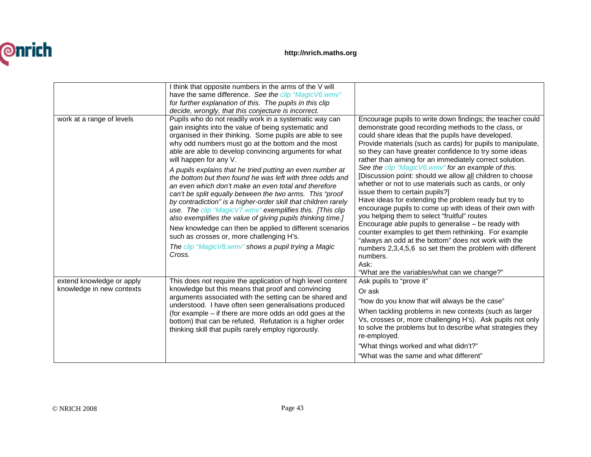

| work at a range of levels                              | I think that opposite numbers in the arms of the V will<br>have the same difference. See the clip "MagicV6.wmv"<br>for further explanation of this. The pupils in this clip<br>decide, wrongly, that this conjecture is incorrect.<br>Pupils who do not readily work in a systematic way can<br>gain insights into the value of being systematic and<br>organised in their thinking. Some pupils are able to see<br>why odd numbers must go at the bottom and the most<br>able are able to develop convincing arguments for what<br>will happen for any V.<br>A pupils explains that he tried putting an even number at | Encourage pupils to write down findings; the teacher could<br>demonstrate good recording methods to the class, or<br>could share ideas that the pupils have developed.<br>Provide materials (such as cards) for pupils to manipulate,<br>so they can have greater confidence to try some ideas<br>rather than aiming for an immediately correct solution.<br>See the clip "MagicV6.wmv" for an example of this.                                                                                                                                                                                                                   |
|--------------------------------------------------------|-------------------------------------------------------------------------------------------------------------------------------------------------------------------------------------------------------------------------------------------------------------------------------------------------------------------------------------------------------------------------------------------------------------------------------------------------------------------------------------------------------------------------------------------------------------------------------------------------------------------------|-----------------------------------------------------------------------------------------------------------------------------------------------------------------------------------------------------------------------------------------------------------------------------------------------------------------------------------------------------------------------------------------------------------------------------------------------------------------------------------------------------------------------------------------------------------------------------------------------------------------------------------|
|                                                        | the bottom but then found he was left with three odds and<br>an even which don't make an even total and therefore<br>can't be split equally between the two arms. This "proof<br>by contradiction" is a higher-order skill that children rarely<br>use. The clip "MagicV7.wmv" exemplifies this. [This clip<br>also exemplifies the value of giving pupils thinking time.]<br>New knowledge can then be applied to different scenarios<br>such as crosses or, more challenging H's.<br>The clip "MagicV8.wmv" shows a pupil trying a Magic<br>Cross.                                                                    | [Discussion point: should we allow all children to choose<br>whether or not to use materials such as cards, or only<br>issue them to certain pupils?]<br>Have ideas for extending the problem ready but try to<br>encourage pupils to come up with ideas of their own with<br>you helping them to select "fruitful" routes<br>Encourage able pupils to generalise - be ready with<br>counter examples to get them rethinking. For example<br>"always an odd at the bottom" does not work with the<br>numbers 2,3,4,5,6 so set them the problem with different<br>numbers.<br>Ask:<br>"What are the variables/what can we change?" |
| extend knowledge or apply<br>knowledge in new contexts | This does not require the application of high level content<br>knowledge but this means that proof and convincing<br>arguments associated with the setting can be shared and<br>understood. I have often seen generalisations produced<br>(for example – if there are more odds an odd goes at the<br>bottom) that can be refuted. Refutation is a higher order<br>thinking skill that pupils rarely employ rigorously.                                                                                                                                                                                                 | Ask pupils to "prove it"<br>Or ask<br>"how do you know that will always be the case"<br>When tackling problems in new contexts (such as larger<br>Vs, crosses or, more challenging H's). Ask pupils not only<br>to solve the problems but to describe what strategies they<br>re-employed.<br>"What things worked and what didn't?"<br>"What was the same and what different"                                                                                                                                                                                                                                                     |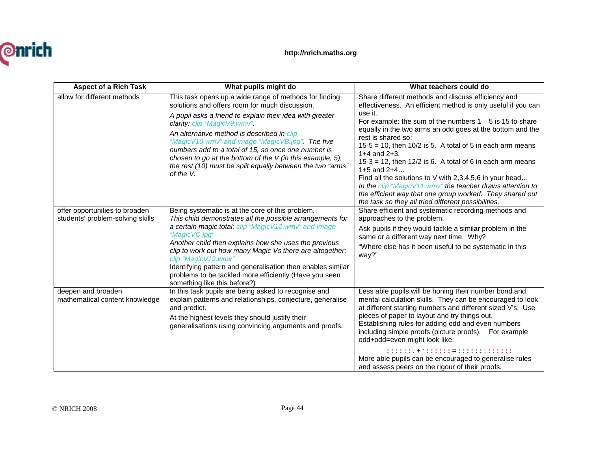

| <b>Aspect of a Rich Task</b>                                       | What pupils might do                                                                                                                                                                                                                                                                                                                                                                                                                                                                                  | What teachers could do                                                                                                                                                                                                                                                                                                                                                                                                                                                                                                                                                                                                                                                                               |
|--------------------------------------------------------------------|-------------------------------------------------------------------------------------------------------------------------------------------------------------------------------------------------------------------------------------------------------------------------------------------------------------------------------------------------------------------------------------------------------------------------------------------------------------------------------------------------------|------------------------------------------------------------------------------------------------------------------------------------------------------------------------------------------------------------------------------------------------------------------------------------------------------------------------------------------------------------------------------------------------------------------------------------------------------------------------------------------------------------------------------------------------------------------------------------------------------------------------------------------------------------------------------------------------------|
| allow for different methods                                        | This task opens up a wide range of methods for finding<br>solutions and offers room for much discussion.<br>A pupil asks a friend to explain their idea with greater<br>clarity: clip "MagicV9.wmv".<br>An alternative method is described in clip<br>"MagicV10.wmv" and image "MagicVB.jpg". The five<br>numbers add to a total of 15, so once one number is<br>chosen to go at the bottom of the V (in this example, 5),<br>the rest (10) must be split equally between the two "arms"<br>of the V. | Share different methods and discuss efficiency and<br>effectiveness. An efficient method is only useful if you can<br>use it.<br>For example: the sum of the numbers $1 - 5$ is 15 to share<br>equally in the two arms an odd goes at the bottom and the<br>rest is shared so:<br>$15-5 = 10$ , then $10/2$ is 5. A total of 5 in each arm means<br>$1+4$ and $2+3$ .<br>$15-3 = 12$ , then $12/2$ is 6. A total of 6 in each arm means<br>1+5 and $2+4$<br>Find all the solutions to V with 2,3,4,5,6 in your head<br>In the clip "Magic V11.wmv" the teacher draws attention to<br>the efficient way that one group worked. They shared out<br>the task so they all tried different possibilities. |
| offer opportunities to broaden<br>students' problem-solving skills | Being systematic is at the core of this problem.<br>This child demonstrates all the possible arrangements for<br>a certain magic total: clip "MagicV12.wmv" and image<br>"MagicVC.jpg"<br>Another child then explains how she uses the previous<br>clip to work out how many Magic Vs there are altogether:<br>clip "MagicV13.wmv"<br>Identifying pattern and generalisation then enables similar<br>problems to be tackled more efficiently (Have you seen<br>something like this before?)           | Share efficient and systematic recording methods and<br>approaches to the problem.<br>Ask pupils if they would tackle a similar problem in the<br>same or a different way next time. Why?<br>"Where else has it been useful to be systematic in this<br>way?"                                                                                                                                                                                                                                                                                                                                                                                                                                        |
| deepen and broaden<br>mathematical content knowledge               | In this task pupils are being asked to recognise and<br>explain patterns and relationships, conjecture, generalise<br>and predict.<br>At the highest levels they should justify their<br>generalisations using convincing arguments and proofs.                                                                                                                                                                                                                                                       | Less able pupils will be honing their number bond and<br>mental calculation skills. They can be encouraged to look<br>at different starting numbers and different sized V's. Use<br>pieces of paper to layout and try things out.<br>Establishing rules for adding odd and even numbers<br>including simple proofs (picture proofs). For example<br>odd+odd=even might look like:<br>:::::::+*:::::: =:::::::::::::<br>More able pupils can be encouraged to generalise rules<br>and assess peers on the rigour of their proofs.                                                                                                                                                                     |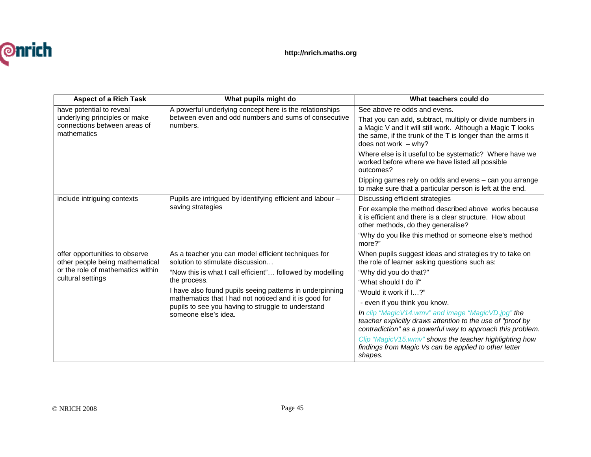

| <b>Aspect of a Rich Task</b>                                                                                                | What pupils might do                                                                                                                                                                                                                                                                                                                                                    | What teachers could do                                                                                                                                                                                                                                                                                                                                                                                                                                                                                                                 |
|-----------------------------------------------------------------------------------------------------------------------------|-------------------------------------------------------------------------------------------------------------------------------------------------------------------------------------------------------------------------------------------------------------------------------------------------------------------------------------------------------------------------|----------------------------------------------------------------------------------------------------------------------------------------------------------------------------------------------------------------------------------------------------------------------------------------------------------------------------------------------------------------------------------------------------------------------------------------------------------------------------------------------------------------------------------------|
| have potential to reveal<br>underlying principles or make<br>connections between areas of<br>mathematics                    | A powerful underlying concept here is the relationships<br>between even and odd numbers and sums of consecutive<br>numbers.                                                                                                                                                                                                                                             | See above re odds and evens.<br>That you can add, subtract, multiply or divide numbers in<br>a Magic V and it will still work. Although a Magic T looks<br>the same, if the trunk of the T is longer than the arms it<br>does not work $-$ why?<br>Where else is it useful to be systematic? Where have we<br>worked before where we have listed all possible<br>outcomes?<br>Dipping games rely on odds and evens - can you arrange                                                                                                   |
| include intriguing contexts                                                                                                 | Pupils are intrigued by identifying efficient and labour -<br>saving strategies                                                                                                                                                                                                                                                                                         | to make sure that a particular person is left at the end.<br>Discussing efficient strategies<br>For example the method described above works because<br>it is efficient and there is a clear structure. How about<br>other methods, do they generalise?<br>"Why do you like this method or someone else's method<br>more?"                                                                                                                                                                                                             |
| offer opportunities to observe<br>other people being mathematical<br>or the role of mathematics within<br>cultural settings | As a teacher you can model efficient techniques for<br>solution to stimulate discussion<br>"Now this is what I call efficient" followed by modelling<br>the process.<br>I have also found pupils seeing patterns in underpinning<br>mathematics that I had not noticed and it is good for<br>pupils to see you having to struggle to understand<br>someone else's idea. | When pupils suggest ideas and strategies try to take on<br>the role of learner asking questions such as:<br>"Why did you do that?"<br>"What should I do if"<br>"Would it work if I?"<br>- even if you think you know.<br>In clip "MagicV14.wmv" and image "MagicVD.jpg" the<br>teacher explicitly draws attention to the use of "proof by<br>contradiction" as a powerful way to approach this problem.<br>Clip "Magic V15.wmv" shows the teacher highlighting how<br>findings from Magic Vs can be applied to other letter<br>shapes. |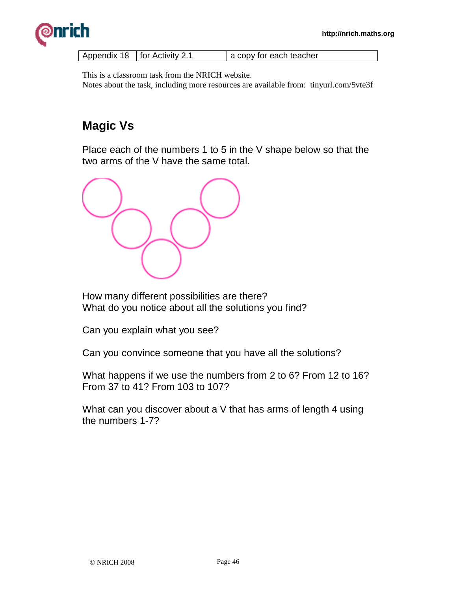

| Appendix 18   for Activity 2.1 | a copy for each teacher |
|--------------------------------|-------------------------|
|                                |                         |

This is a classroom task from the NRICH website. Notes about the task, including more resources are available from: tinyurl.com/5vte3f

## **Magic Vs**

Place each of the numbers 1 to 5 in the V shape below so that the two arms of the V have the same total.



How many different possibilities are there? What do you notice about all the solutions you find?

Can you explain what you see?

Can you convince someone that you have all the solutions?

What happens if we use the numbers from 2 to 6? From 12 to 16? From 37 to 41? From 103 to 107?

What can you discover about a V that has arms of length 4 using the numbers 1-7?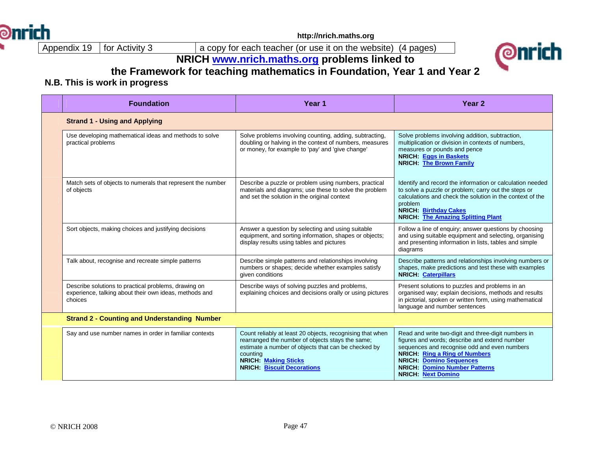

**http://nrich.maths.org**

9 | for Activity 3 | a copy for each teacher (or use it on the website) (4 pages)

## **NRICH www.nrich.maths.org problems linked to**



## **the Framework for teaching mathematics in Foundation, Year 1 and Year 2**

## **N.B. This is work in progress**

|  | <b>Foundation</b>                                                                                                         | Year 1                                                                                                                                                                                                                                               | Year <sub>2</sub>                                                                                                                                                                                                                                                                                   |
|--|---------------------------------------------------------------------------------------------------------------------------|------------------------------------------------------------------------------------------------------------------------------------------------------------------------------------------------------------------------------------------------------|-----------------------------------------------------------------------------------------------------------------------------------------------------------------------------------------------------------------------------------------------------------------------------------------------------|
|  | <b>Strand 1 - Using and Applying</b>                                                                                      |                                                                                                                                                                                                                                                      |                                                                                                                                                                                                                                                                                                     |
|  | Use developing mathematical ideas and methods to solve<br>practical problems                                              | Solve problems involving counting, adding, subtracting,<br>doubling or halving in the context of numbers, measures<br>or money, for example to 'pay' and 'give change'                                                                               | Solve problems involving addition, subtraction,<br>multiplication or division in contexts of numbers,<br>measures or pounds and pence<br>NRICH: Eggs in Baskets<br><b>NRICH: The Brown Family</b>                                                                                                   |
|  | Match sets of objects to numerals that represent the number<br>of objects                                                 | Describe a puzzle or problem using numbers, practical<br>materials and diagrams; use these to solve the problem<br>and set the solution in the original context                                                                                      | Identify and record the information or calculation needed<br>to solve a puzzle or problem; carry out the steps or<br>calculations and check the solution in the context of the<br>problem<br><b>NRICH: Birthday Cakes</b><br><b>NRICH: The Amazing Splitting Plant</b>                              |
|  | Sort objects, making choices and justifying decisions                                                                     | Answer a question by selecting and using suitable<br>equipment, and sorting information, shapes or objects;<br>display results using tables and pictures                                                                                             | Follow a line of enquiry; answer questions by choosing<br>and using suitable equipment and selecting, organising<br>and presenting information in lists, tables and simple<br>diagrams                                                                                                              |
|  | Talk about, recognise and recreate simple patterns                                                                        | Describe simple patterns and relationships involving<br>numbers or shapes; decide whether examples satisfy<br>given conditions                                                                                                                       | Describe patterns and relationships involving numbers or<br>shapes, make predictions and test these with examples<br><b>NRICH: Caterpillars</b>                                                                                                                                                     |
|  | Describe solutions to practical problems, drawing on<br>experience, talking about their own ideas, methods and<br>choices | Describe ways of solving puzzles and problems,<br>explaining choices and decisions orally or using pictures                                                                                                                                          | Present solutions to puzzles and problems in an<br>organised way; explain decisions, methods and results<br>in pictorial, spoken or written form, using mathematical<br>language and number sentences                                                                                               |
|  | <b>Strand 2 - Counting and Understanding Number</b>                                                                       |                                                                                                                                                                                                                                                      |                                                                                                                                                                                                                                                                                                     |
|  | Say and use number names in order in familiar contexts                                                                    | Count reliably at least 20 objects, recognising that when<br>rearranged the number of objects stays the same;<br>estimate a number of objects that can be checked by<br>counting<br><b>NRICH: Making Sticks</b><br><b>NRICH: Biscuit Decorations</b> | Read and write two-digit and three-digit numbers in<br>figures and words; describe and extend number<br>sequences and recognise odd and even numbers<br><b>NRICH: Ring a Ring of Numbers</b><br><b>NRICH: Domino Sequences</b><br><b>NRICH: Domino Number Patterns</b><br><b>NRICH: Next Domino</b> |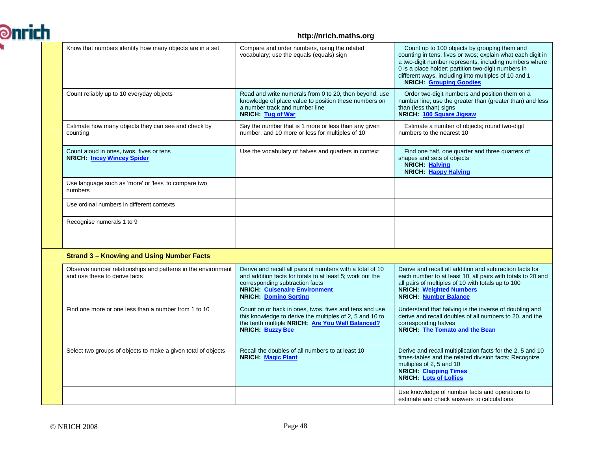

#### **http://nrich.maths.org**

| Know that numbers identify how many objects are in a set                                      | Compare and order numbers, using the related<br>vocabulary; use the equals (equals) sign                                                                                                                                          | Count up to 100 objects by grouping them and<br>counting in tens, fives or twos, explain what each digit in<br>a two-digit number represents, including numbers where<br>0 is a place holder; partition two-digit numbers in<br>different ways, including into multiples of 10 and 1<br><b>NRICH:</b> Grouping Goodies |
|-----------------------------------------------------------------------------------------------|-----------------------------------------------------------------------------------------------------------------------------------------------------------------------------------------------------------------------------------|------------------------------------------------------------------------------------------------------------------------------------------------------------------------------------------------------------------------------------------------------------------------------------------------------------------------|
| Count reliably up to 10 everyday objects                                                      | Read and write numerals from 0 to 20, then beyond; use<br>knowledge of place value to position these numbers on<br>a number track and number line<br>NRICH: Tug of War                                                            | Order two-digit numbers and position them on a<br>number line; use the greater than (greater than) and less<br>than (less than) signs<br>NRICH: 100 Square Jigsaw                                                                                                                                                      |
| Estimate how many objects they can see and check by<br>counting                               | Say the number that is 1 more or less than any given<br>number, and 10 more or less for multiples of 10                                                                                                                           | Estimate a number of objects; round two-digit<br>numbers to the nearest 10                                                                                                                                                                                                                                             |
| Count aloud in ones, twos, fives or tens<br><b>NRICH: Incey Wincey Spider</b>                 | Use the vocabulary of halves and quarters in context                                                                                                                                                                              | Find one half, one quarter and three quarters of<br>shapes and sets of objects<br>NRICH: Halving<br>NRICH: Happy Halving                                                                                                                                                                                               |
| Use language such as 'more' or 'less' to compare two<br>numbers                               |                                                                                                                                                                                                                                   |                                                                                                                                                                                                                                                                                                                        |
| Use ordinal numbers in different contexts                                                     |                                                                                                                                                                                                                                   |                                                                                                                                                                                                                                                                                                                        |
| Recognise numerals 1 to 9                                                                     |                                                                                                                                                                                                                                   |                                                                                                                                                                                                                                                                                                                        |
| <b>Strand 3 - Knowing and Using Number Facts</b>                                              |                                                                                                                                                                                                                                   |                                                                                                                                                                                                                                                                                                                        |
| Observe number relationships and patterns in the environment<br>and use these to derive facts | Derive and recall all pairs of numbers with a total of 10<br>and addition facts for totals to at least 5; work out the<br>corresponding subtraction facts<br><b>NRICH:</b> Cuisenaire Environment<br><b>NRICH: Domino Sorting</b> | Derive and recall all addition and subtraction facts for<br>each number to at least 10, all pairs with totals to 20 and<br>all pairs of multiples of 10 with totals up to 100<br><b>NRICH:</b> Weighted Numbers<br><b>NRICH:</b> Number Balance                                                                        |
| Find one more or one less than a number from 1 to 10                                          | Count on or back in ones, twos, fives and tens and use<br>this knowledge to derive the multiples of 2, 5 and 10 to<br>the tenth multiple NRICH: Are You Well Balanced?<br>NRICH: Buzzy Bee                                        | Understand that halving is the inverse of doubling and<br>derive and recall doubles of all numbers to 20, and the<br>corresponding halves<br>NRICH: The Tomato and the Bean                                                                                                                                            |
| Select two groups of objects to make a given total of objects                                 | Recall the doubles of all numbers to at least 10<br><b>NRICH: Magic Plant</b>                                                                                                                                                     | Derive and recall multiplication facts for the 2, 5 and 10<br>times-tables and the related division facts; Recognize<br>multiples of 2, 5 and 10<br><b>NRICH:</b> Clapping Times<br><b>NRICH:</b> Lots of Lollies                                                                                                      |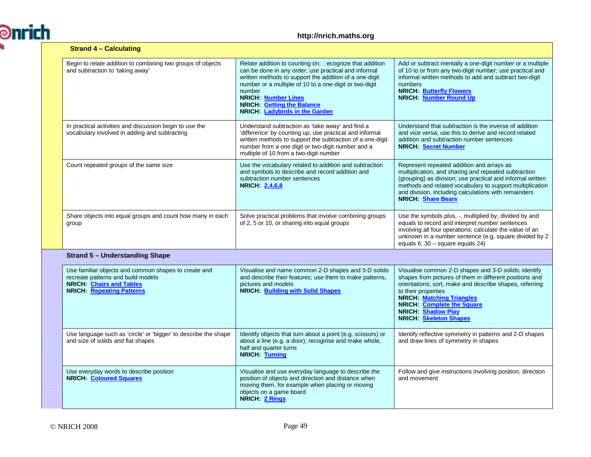

| <b>Strand 4 – Calculating</b>                                                                                                                                    |                                                                                                                                                                                                                                                                                                                                                   |                                                                                                                                                                                                                                                                                                                                          |
|------------------------------------------------------------------------------------------------------------------------------------------------------------------|---------------------------------------------------------------------------------------------------------------------------------------------------------------------------------------------------------------------------------------------------------------------------------------------------------------------------------------------------|------------------------------------------------------------------------------------------------------------------------------------------------------------------------------------------------------------------------------------------------------------------------------------------------------------------------------------------|
| Begin to relate addition to combining two groups of objects<br>and subtraction to 'taking away'                                                                  | Relate addition to counting on; ecognize that addition<br>can be done in any order; use practical and informal<br>written methods to support the addition of a one-digit<br>number or a multiple of 10 to a one-digit or two-digit<br>number<br><b>NRICH: Number Lines</b><br><b>NRICH:</b> Getting the Balance<br>NRICH: Ladybirds in the Garden | Add or subtract mentally a one-digit number or a multiple<br>of 10 to or from any two-digit number; use practical and<br>informal written methods to add and subtract two-digit<br>numbers<br><b>NRICH: Butterfly Flowers</b><br><b>NRICH:</b> Number Round Up                                                                           |
| In practical activities and discussion begin to use the<br>vocabulary involved in adding and subtracting                                                         | Understand subtraction as 'take away' and find a<br>'difference' by counting up; use practical and informal<br>written methods to support the subtraction of a one-digit<br>number from a one digit or two-digit number and a<br>multiple of 10 from a two-digit number                                                                           | Understand that subtraction is the inverse of addition<br>and vice versa; use this to derive and record related<br>addition and subtraction number sentences<br><b>NRICH: Secret Number</b>                                                                                                                                              |
| Count repeated groups of the same size                                                                                                                           | Use the vocabulary related to addition and subtraction<br>and symbols to describe and record addition and<br>subtraction number sentences<br><b>NRICH 2,4,6,8</b>                                                                                                                                                                                 | Represent repeated addition and arrays as<br>multiplication, and sharing and repeated subtraction<br>(grouping) as division; use practical and informal written<br>methods and related vocabulary to support multiplication<br>and division, including calculations with remainders<br><b>NRICH:</b> Share Bears                         |
| Share objects into equal groups and count how many in each<br>group                                                                                              | Solve practical problems that involve combining groups<br>of 2, 5 or 10, or sharing into equal groups                                                                                                                                                                                                                                             | Use the symbols plus, -, multiplied by, divided by and<br>equals to record and interpret number sentences<br>involving all four operations; calculate the value of an<br>unknown in a number sentence (e.g. square divided by 2<br>equals $6, 30$ – square equals 24)                                                                    |
| <b>Strand 5 - Understanding Shape</b>                                                                                                                            |                                                                                                                                                                                                                                                                                                                                                   |                                                                                                                                                                                                                                                                                                                                          |
| Use familiar objects and common shapes to create and<br>recreate patterns and build models<br><b>NRICH</b> Chairs and Tables<br><b>NRICH:</b> Repeating Patterns | Visualise and name common 2-D shapes and 3-D solids<br>and describe their features; use them to make patterns,<br>pictures and models<br><b>NRICH: Building with Solid Shapes</b>                                                                                                                                                                 | Visualise common 2-D shapes and 3-D solids; identify<br>shapes from pictures of them in different positions and<br>orientations; sort, make and describe shapes, referring<br>to their properties<br><b>NRICH: Matching Triangles</b><br><b>NRICH:</b> Complete the Square<br><b>NRICH: Shadow Play</b><br><b>NRICH:</b> Skeleton Shapes |
| Use language such as 'circle' or 'bigger' to describe the shape<br>and size of solids and flat shapes                                                            | Identify objects that turn about a point (e.g. scissors) or<br>about a line (e.g. a door); recognise and make whole,<br>half and quarter turns<br>NRICH: Turning                                                                                                                                                                                  | Identify reflective symmetry in patterns and 2-D shapes<br>and draw lines of symmetry in shapes                                                                                                                                                                                                                                          |
| Use everyday words to describe position<br><b>NRICH:</b> Coloured Squares                                                                                        | Visualise and use everyday language to describe the<br>position of objects and direction and distance when<br>moving them, for example when placing or moving<br>objects on a game board<br>NRICH: 2 Rings                                                                                                                                        | Follow and give instructions involving position, direction<br>and movement                                                                                                                                                                                                                                                               |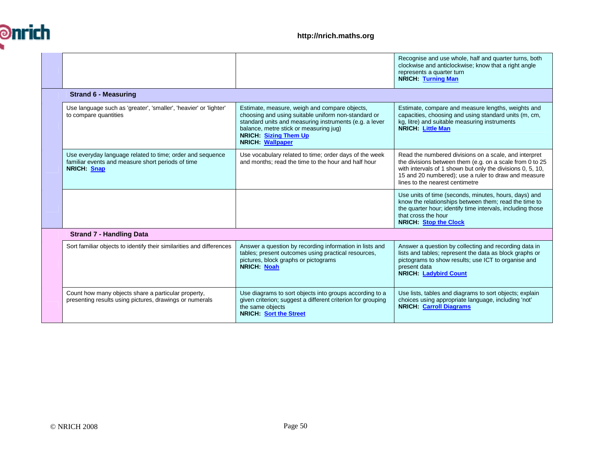

|                                                                                                                               |                                                                                                                                                                                                                                                       | Recognise and use whole, half and quarter turns, both<br>clockwise and anticlockwise; know that a right angle<br>represents a quarter turn<br><b>NRICH: Turning Man</b>                                                                                                    |
|-------------------------------------------------------------------------------------------------------------------------------|-------------------------------------------------------------------------------------------------------------------------------------------------------------------------------------------------------------------------------------------------------|----------------------------------------------------------------------------------------------------------------------------------------------------------------------------------------------------------------------------------------------------------------------------|
| <b>Strand 6 - Measuring</b>                                                                                                   |                                                                                                                                                                                                                                                       |                                                                                                                                                                                                                                                                            |
| Use language such as 'greater', 'smaller', 'heavier' or 'lighter'<br>to compare quantities                                    | Estimate, measure, weigh and compare objects,<br>choosing and using suitable uniform non-standard or<br>standard units and measuring instruments (e.g. a lever<br>balance, metre stick or measuring jug)<br>NRICH: Sizing Them Up<br>NRICH: Wallpaper | Estimate, compare and measure lengths, weights and<br>capacities, choosing and using standard units (m, cm,<br>kg, litre) and suitable measuring instruments<br><b>NRICH: Little Man</b>                                                                                   |
| Use everyday language related to time; order and sequence<br>familiar events and measure short periods of time<br>NRICH: Snap | Use vocabulary related to time; order days of the week<br>and months; read the time to the hour and half hour                                                                                                                                         | Read the numbered divisions on a scale, and interpret<br>the divisions between them (e.g. on a scale from 0 to 25<br>with intervals of 1 shown but only the divisions 0, 5, 10,<br>15 and 20 numbered); use a ruler to draw and measure<br>lines to the nearest centimetre |
|                                                                                                                               |                                                                                                                                                                                                                                                       | Use units of time (seconds, minutes, hours, days) and<br>know the relationships between them; read the time to<br>the quarter hour; identify time intervals, including those<br>that cross the hour<br><b>NRICH: Stop the Clock</b>                                        |
| <b>Strand 7 - Handling Data</b>                                                                                               |                                                                                                                                                                                                                                                       |                                                                                                                                                                                                                                                                            |
| Sort familiar objects to identify their similarities and differences                                                          | Answer a question by recording information in lists and<br>tables; present outcomes using practical resources,<br>pictures, block graphs or pictograms<br>NRICH Noah                                                                                  | Answer a question by collecting and recording data in<br>lists and tables; represent the data as block graphs or<br>pictograms to show results; use ICT to organise and<br>present data<br><b>NRICH: Ladybird Count</b>                                                    |
| Count how many objects share a particular property,<br>presenting results using pictures, drawings or numerals                | Use diagrams to sort objects into groups according to a<br>given criterion; suggest a different criterion for grouping<br>the same objects<br><b>NRICH: Sort the Street</b>                                                                           | Use lists, tables and diagrams to sort objects; explain<br>choices using appropriate language, including 'not'<br><b>NRICH: Carroll Diagrams</b>                                                                                                                           |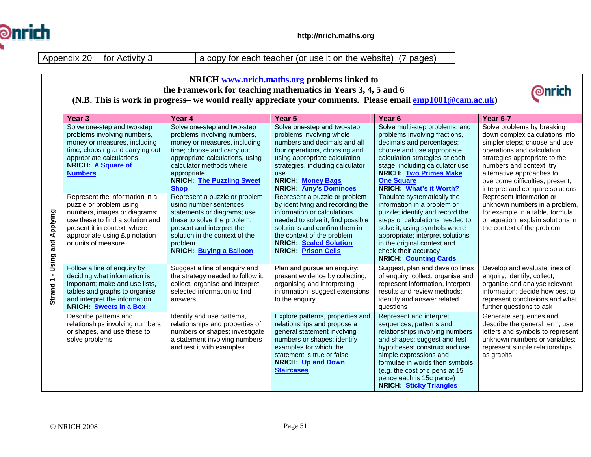

Appendix 20 | for Activity 3

a copy for each teacher (or use it on the website) (7 pages)

| NRICH www.nrich.maths.org problems linked to |                                                                                                                                                                                                                        |                                                                                                                                                                                                                                                           |                                                                                                                                                                                                                                                                     |                                                                                                                                                                                                                                                                                                                    |                                                                                                                                                                                                                                                                                             |  |
|----------------------------------------------|------------------------------------------------------------------------------------------------------------------------------------------------------------------------------------------------------------------------|-----------------------------------------------------------------------------------------------------------------------------------------------------------------------------------------------------------------------------------------------------------|---------------------------------------------------------------------------------------------------------------------------------------------------------------------------------------------------------------------------------------------------------------------|--------------------------------------------------------------------------------------------------------------------------------------------------------------------------------------------------------------------------------------------------------------------------------------------------------------------|---------------------------------------------------------------------------------------------------------------------------------------------------------------------------------------------------------------------------------------------------------------------------------------------|--|
|                                              | the Framework for teaching mathematics in Years 3, 4, 5 and 6<br>(N.B. This is work in progress- we would really appreciate your comments. Please email $\frac{emp1001@cam.ac.uk}{emp1001@cam.ac.uk}$ )                |                                                                                                                                                                                                                                                           |                                                                                                                                                                                                                                                                     |                                                                                                                                                                                                                                                                                                                    |                                                                                                                                                                                                                                                                                             |  |
|                                              | Year <sub>3</sub>                                                                                                                                                                                                      | Year 4                                                                                                                                                                                                                                                    | Year 5                                                                                                                                                                                                                                                              | Year <sub>6</sub>                                                                                                                                                                                                                                                                                                  | <b>Year 6-7</b>                                                                                                                                                                                                                                                                             |  |
|                                              | Solve one-step and two-step<br>problems involving numbers,<br>money or measures, including<br>time, choosing and carrying out<br>appropriate calculations<br><b>NRICH: A Square of</b><br><b>Numbers</b>               | Solve one-step and two-step<br>problems involving numbers,<br>money or measures, including<br>time; choose and carry out<br>appropriate calculations, using<br>calculator methods where<br>appropriate<br><b>NRICH: The Puzzling Sweet</b><br><b>Shop</b> | Solve one-step and two-step<br>problems involving whole<br>numbers and decimals and all<br>four operations, choosing and<br>using appropriate calculation<br>strategies, including calculator<br>use<br><b>NRICH: Money Bags</b><br><b>NRICH: Amy's Dominoes</b>    | Solve multi-step problems, and<br>problems involving fractions,<br>decimals and percentages;<br>choose and use appropriate<br>calculation strategies at each<br>stage, including calculator use<br><b>NRICH: Two Primes Make</b><br><b>One Square</b><br>NRICH: What's it Worth?                                   | Solve problems by breaking<br>down complex calculations into<br>simpler steps; choose and use<br>operations and calculation<br>strategies appropriate to the<br>numbers and context; try<br>alternative approaches to<br>overcome difficulties; present,<br>interpret and compare solutions |  |
| Strand 1 - Using and Applying                | Represent the information in a<br>puzzle or problem using<br>numbers, images or diagrams;<br>use these to find a solution and<br>present it in context, where<br>appropriate using £.p notation<br>or units of measure | Represent a puzzle or problem<br>using number sentences,<br>statements or diagrams; use<br>these to solve the problem;<br>present and interpret the<br>solution in the context of the<br>problem<br>NRICH: Buying a Balloon                               | Represent a puzzle or problem<br>by identifying and recording the<br>information or calculations<br>needed to solve it; find possible<br>solutions and confirm them in<br>the context of the problem<br><b>NRICH: Sealed Solution</b><br><b>NRICH: Prison Cells</b> | Tabulate systematically the<br>information in a problem or<br>puzzle; identify and record the<br>steps or calculations needed to<br>solve it, using symbols where<br>appropriate; interpret solutions<br>in the original context and<br>check their accuracy<br><b>NRICH: Counting Cards</b>                       | Represent information or<br>unknown numbers in a problem,<br>for example in a table, formula<br>or equation; explain solutions in<br>the context of the problem                                                                                                                             |  |
|                                              | Follow a line of enquiry by<br>deciding what information is<br>important; make and use lists,<br>tables and graphs to organise<br>and interpret the information<br>NRICH: Sweets in a Box                              | Suggest a line of enquiry and<br>the strategy needed to follow it;<br>collect, organise and interpret<br>selected information to find<br>answers                                                                                                          | Plan and pursue an enquiry;<br>present evidence by collecting,<br>organising and interpreting<br>information; suggest extensions<br>to the enquiry                                                                                                                  | Suggest, plan and develop lines<br>of enquiry; collect, organise and<br>represent information, interpret<br>results and review methods;<br>identify and answer related<br>questions                                                                                                                                | Develop and evaluate lines of<br>enquiry; identify, collect,<br>organise and analyse relevant<br>information; decide how best to<br>represent conclusions and what<br>further questions to ask                                                                                              |  |
|                                              | Describe patterns and<br>relationships involving numbers<br>or shapes, and use these to<br>solve problems                                                                                                              | Identify and use patterns,<br>relationships and properties of<br>numbers or shapes; investigate<br>a statement involving numbers<br>and test it with examples                                                                                             | Explore patterns, properties and<br>relationships and propose a<br>general statement involving<br>numbers or shapes; identify<br>examples for which the<br>statement is true or false<br>NRICH: Up and Down<br><b>Staircases</b>                                    | Represent and interpret<br>sequences, patterns and<br>relationships involving numbers<br>and shapes; suggest and test<br>hypotheses; construct and use<br>simple expressions and<br>formulae in words then symbols<br>(e.g. the cost of c pens at 15<br>pence each is 15c pence)<br><b>NRICH: Sticky Triangles</b> | Generate sequences and<br>describe the general term; use<br>letters and symbols to represent<br>unknown numbers or variables;<br>represent simple relationships<br>as graphs                                                                                                                |  |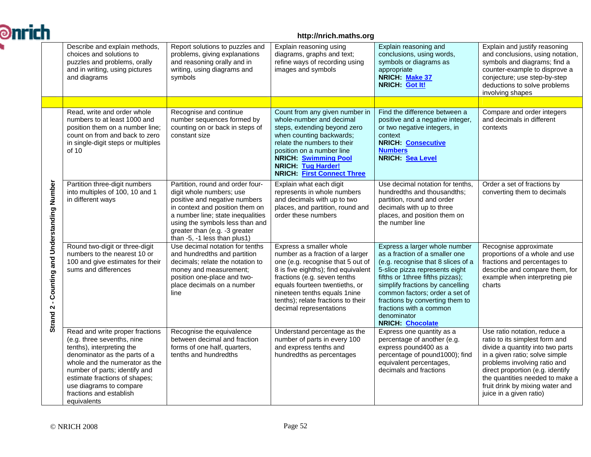| <b>Ənrich</b> |                                                                                                                                                                                                                                                                                                      |                                                                                                                                                                                                                                                                           | http://nrich.maths.org                                                                                                                                                                                                                                                                                      |                                                                                                                                                                                                                                                                                                                                                           |                                                                                                                                                                                                                                                                                                           |
|---------------|------------------------------------------------------------------------------------------------------------------------------------------------------------------------------------------------------------------------------------------------------------------------------------------------------|---------------------------------------------------------------------------------------------------------------------------------------------------------------------------------------------------------------------------------------------------------------------------|-------------------------------------------------------------------------------------------------------------------------------------------------------------------------------------------------------------------------------------------------------------------------------------------------------------|-----------------------------------------------------------------------------------------------------------------------------------------------------------------------------------------------------------------------------------------------------------------------------------------------------------------------------------------------------------|-----------------------------------------------------------------------------------------------------------------------------------------------------------------------------------------------------------------------------------------------------------------------------------------------------------|
|               | Describe and explain methods,<br>choices and solutions to<br>puzzles and problems, orally<br>and in writing, using pictures<br>and diagrams                                                                                                                                                          | Report solutions to puzzles and<br>problems, giving explanations<br>and reasoning orally and in<br>writing, using diagrams and<br>symbols                                                                                                                                 | Explain reasoning using<br>diagrams, graphs and text;<br>refine ways of recording using<br>images and symbols                                                                                                                                                                                               | Explain reasoning and<br>conclusions, using words,<br>symbols or diagrams as<br>appropriate<br>NRICH: Make 37<br>NRICH: Got It!                                                                                                                                                                                                                           | Explain and justify reasoning<br>and conclusions, using notation,<br>symbols and diagrams; find a<br>counter-example to disprove a<br>conjecture; use step-by-step<br>deductions to solve problems<br>involving shapes                                                                                    |
|               |                                                                                                                                                                                                                                                                                                      |                                                                                                                                                                                                                                                                           |                                                                                                                                                                                                                                                                                                             |                                                                                                                                                                                                                                                                                                                                                           |                                                                                                                                                                                                                                                                                                           |
|               | Read, write and order whole<br>numbers to at least 1000 and<br>position them on a number line;<br>count on from and back to zero<br>in single-digit steps or multiples<br>of 10                                                                                                                      | Recognise and continue<br>number sequences formed by<br>counting on or back in steps of<br>constant size                                                                                                                                                                  | Count from any given number in<br>whole-number and decimal<br>steps, extending beyond zero<br>when counting backwards;<br>relate the numbers to their<br>position on a number line<br><b>NRICH: Swimming Pool</b><br><b>NRICH: Tug Harder!</b><br><b>NRICH: First Connect Three</b>                         | Find the difference between a<br>positive and a negative integer,<br>or two negative integers, in<br>context<br><b>NRICH: Consecutive</b><br><b>Numbers</b><br><b>NRICH:</b> Sea Level                                                                                                                                                                    | Compare and order integers<br>and decimals in different<br>contexts                                                                                                                                                                                                                                       |
|               | Partition three-digit numbers<br>into multiples of 100, 10 and 1<br>in different ways                                                                                                                                                                                                                | Partition, round and order four-<br>digit whole numbers; use<br>positive and negative numbers<br>in context and position them on<br>a number line; state inequalities<br>using the symbols less than and<br>greater than (e.g. -3 greater<br>than -5, -1 less than plus1) | Explain what each digit<br>represents in whole numbers<br>and decimals with up to two<br>places, and partition, round and<br>order these numbers                                                                                                                                                            | Use decimal notation for tenths.<br>hundredths and thousandths;<br>partition, round and order<br>decimals with up to three<br>places, and position them on<br>the number line                                                                                                                                                                             | Order a set of fractions by<br>converting them to decimals                                                                                                                                                                                                                                                |
|               | - Counting and Understanding Number<br>Round two-digit or three-digit<br>numbers to the nearest 10 or<br>100 and give estimates for their<br>sums and differences<br>Strand <sub>2</sub>                                                                                                             | Use decimal notation for tenths<br>and hundredths and partition<br>decimals; relate the notation to<br>money and measurement;<br>position one-place and two-<br>place decimals on a number<br>line                                                                        | Express a smaller whole<br>number as a fraction of a larger<br>one (e.g. recognise that 5 out of<br>8 is five eighths); find equivalent<br>fractions (e.g. seven tenths<br>equals fourteen twentieths, or<br>nineteen tenths equals 1 nine<br>tenths); relate fractions to their<br>decimal representations | Express a larger whole number<br>as a fraction of a smaller one<br>(e.g. recognise that 8 slices of a<br>5-slice pizza represents eight<br>fifths or 1three fifths pizzas);<br>simplify fractions by cancelling<br>common factors; order a set of<br>fractions by converting them to<br>fractions with a common<br>denominator<br><b>NRICH: Chocolate</b> | Recognise approximate<br>proportions of a whole and use<br>fractions and percentages to<br>describe and compare them, for<br>example when interpreting pie<br>charts                                                                                                                                      |
|               | Read and write proper fractions<br>(e.g. three sevenths, nine<br>tenths), interpreting the<br>denominator as the parts of a<br>whole and the numerator as the<br>number of parts; identify and<br>estimate fractions of shapes;<br>use diagrams to compare<br>fractions and establish<br>equivalents | Recognise the equivalence<br>between decimal and fraction<br>forms of one half, quarters,<br>tenths and hundredths                                                                                                                                                        | Understand percentage as the<br>number of parts in every 100<br>and express tenths and<br>hundredths as percentages                                                                                                                                                                                         | Express one quantity as a<br>percentage of another (e.g.<br>express pound400 as a<br>percentage of pound1000); find<br>equivalent percentages,<br>decimals and fractions                                                                                                                                                                                  | Use ratio notation, reduce a<br>ratio to its simplest form and<br>divide a quantity into two parts<br>in a given ratio; solve simple<br>problems involving ratio and<br>direct proportion (e.g. identify<br>the quantities needed to make a<br>fruit drink by mixing water and<br>juice in a given ratio) |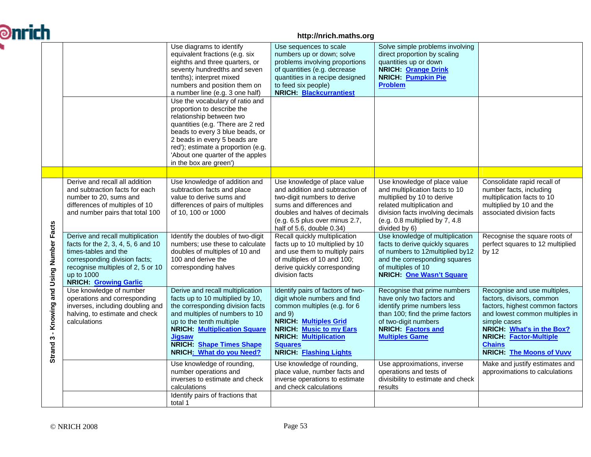| <b>Ənrich</b> |                                               |                                                                                                                                                                                                                    |                                                                                                                                                                                                                                                                                                       | http://nrich.maths.org                                                                                                                                                                                                                                              |                                                                                                                                                                                                                     |                                                                                                                                                                                                                                                                  |
|---------------|-----------------------------------------------|--------------------------------------------------------------------------------------------------------------------------------------------------------------------------------------------------------------------|-------------------------------------------------------------------------------------------------------------------------------------------------------------------------------------------------------------------------------------------------------------------------------------------------------|---------------------------------------------------------------------------------------------------------------------------------------------------------------------------------------------------------------------------------------------------------------------|---------------------------------------------------------------------------------------------------------------------------------------------------------------------------------------------------------------------|------------------------------------------------------------------------------------------------------------------------------------------------------------------------------------------------------------------------------------------------------------------|
|               |                                               |                                                                                                                                                                                                                    | Use diagrams to identify<br>equivalent fractions (e.g. six<br>eighths and three quarters, or<br>seventy hundredths and seven<br>tenths); interpret mixed<br>numbers and position them on<br>a number line (e.g. 3 one half)                                                                           | Use sequences to scale<br>numbers up or down; solve<br>problems involving proportions<br>of quantities (e.g. decrease<br>quantities in a recipe designed<br>to feed six people)<br><b>NRICH: Blackcurrantiest</b>                                                   | Solve simple problems involving<br>direct proportion by scaling<br>quantities up or down<br><b>NRICH: Orange Drink</b><br><b>NRICH:</b> Pumpkin Pie<br><b>Problem</b>                                               |                                                                                                                                                                                                                                                                  |
|               |                                               |                                                                                                                                                                                                                    | Use the vocabulary of ratio and<br>proportion to describe the<br>relationship between two<br>quantities (e.g. 'There are 2 red<br>beads to every 3 blue beads, or<br>2 beads in every 5 beads are<br>red'); estimate a proportion (e.g.<br>'About one quarter of the apples<br>in the box are green') |                                                                                                                                                                                                                                                                     |                                                                                                                                                                                                                     |                                                                                                                                                                                                                                                                  |
|               |                                               |                                                                                                                                                                                                                    |                                                                                                                                                                                                                                                                                                       |                                                                                                                                                                                                                                                                     |                                                                                                                                                                                                                     |                                                                                                                                                                                                                                                                  |
|               |                                               | Derive and recall all addition<br>and subtraction facts for each<br>number to 20, sums and<br>differences of multiples of 10<br>and number pairs that total 100                                                    | Use knowledge of addition and<br>subtraction facts and place<br>value to derive sums and<br>differences of pairs of multiples<br>of 10, 100 or 1000                                                                                                                                                   | Use knowledge of place value<br>and addition and subtraction of<br>two-digit numbers to derive<br>sums and differences and<br>doubles and halves of decimals<br>$(e.g. 6.5$ plus over minus 2.7,<br>half of 5.6, double 0.34)                                       | Use knowledge of place value<br>and multiplication facts to 10<br>multiplied by 10 to derive<br>related multiplication and<br>division facts involving decimals<br>(e.g. 0.8 multiplied by 7, 4.8)<br>divided by 6) | Consolidate rapid recall of<br>number facts, including<br>multiplication facts to 10<br>multiplied by 10 and the<br>associated division facts                                                                                                                    |
|               |                                               | Derive and recall multiplication<br>facts for the 2, 3, 4, 5, 6 and 10<br>times-tables and the<br>corresponding division facts;<br>recognise multiples of 2, 5 or 10<br>up to 1000<br><b>NRICH: Growing Garlic</b> | Identify the doubles of two-digit<br>numbers; use these to calculate<br>doubles of multiples of 10 and<br>100 and derive the<br>corresponding halves                                                                                                                                                  | Recall quickly multiplication<br>facts up to 10 multiplied by 10<br>and use them to multiply pairs<br>of multiples of 10 and 100;<br>derive quickly corresponding<br>division facts                                                                                 | Use knowledge of multiplication<br>facts to derive quickly squares<br>of numbers to 12multiplied by12<br>and the corresponding squares<br>of multiples of 10<br><b>NRICH: One Wasn't Square</b>                     | Recognise the square roots of<br>perfect squares to 12 multiplied<br>by $12$                                                                                                                                                                                     |
|               | 3 - Knowing and Using Number Facts<br>Strand: | Use knowledge of number<br>operations and corresponding<br>inverses, including doubling and<br>halving, to estimate and check<br>calculations                                                                      | Derive and recall multiplication<br>facts up to 10 multiplied by 10,<br>the corresponding division facts<br>and multiples of numbers to 10<br>up to the tenth multiple<br><b>NRICH: Multiplication Square</b><br><b>Jigsaw</b><br><b>NRICH:</b> Shape Times Shape<br>NRICH: What do you Need?         | Identify pairs of factors of two-<br>digit whole numbers and find<br>common multiples (e.g. for 6<br>and $9$ )<br><b>NRICH: Multiples Grid</b><br><b>NRICH:</b> Music to my Ears<br><b>NRICH: Multiplication</b><br><b>Squares</b><br><b>NRICH: Flashing Lights</b> | Recognise that prime numbers<br>have only two factors and<br>identify prime numbers less<br>than 100; find the prime factors<br>of two-digit numbers<br>NRICH: Factors and<br><b>Multiples Game</b>                 | Recognise and use multiples,<br>factors, divisors, common<br>factors, highest common factors<br>and lowest common multiples in<br>simple cases<br>NRICH: What's in the Box?<br><b>NRICH: Factor-Multiple</b><br><b>Chains</b><br><b>NRICH: The Moons of Vuvv</b> |
|               |                                               |                                                                                                                                                                                                                    | Use knowledge of rounding,<br>number operations and<br>inverses to estimate and check<br>calculations                                                                                                                                                                                                 | Use knowledge of rounding,<br>place value, number facts and<br>inverse operations to estimate<br>and check calculations                                                                                                                                             | Use approximations, inverse<br>operations and tests of<br>divisibility to estimate and check<br>results                                                                                                             | Make and justify estimates and<br>approximations to calculations                                                                                                                                                                                                 |
|               |                                               |                                                                                                                                                                                                                    | Identify pairs of fractions that<br>total 1                                                                                                                                                                                                                                                           |                                                                                                                                                                                                                                                                     |                                                                                                                                                                                                                     |                                                                                                                                                                                                                                                                  |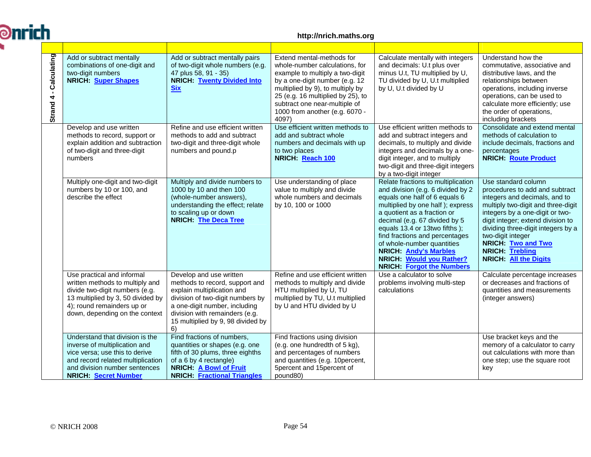

#### **http://nrich.maths.org**

| Calculating<br>$\blacksquare$<br>Strand 4 | Add or subtract mentally<br>combinations of one-digit and<br>two-digit numbers<br><b>NRICH: Super Shapes</b>                                                                                            | Add or subtract mentally pairs<br>of two-digit whole numbers (e.g.<br>47 plus 58, 91 - 35)<br><b>NRICH: Twenty Divided Into</b><br><b>Six</b>                                                                                             | Extend mental-methods for<br>whole-number calculations, for<br>example to multiply a two-digit<br>by a one-digit number (e.g. 12<br>multiplied by 9), to multiply by<br>25 (e.g. 16 multiplied by 25), to<br>subtract one near-multiple of<br>1000 from another (e.g. 6070 -<br>4097) | Calculate mentally with integers<br>and decimals: U.t plus over<br>minus U.t, TU multiplied by U,<br>TU divided by U, U.t multiplied<br>by U, U.t divided by U                                                                                                                                                                                                                                                        | Understand how the<br>commutative, associative and<br>distributive laws, and the<br>relationships between<br>operations, including inverse<br>operations, can be used to<br>calculate more efficiently; use<br>the order of operations,<br>including brackets                                                                                          |
|-------------------------------------------|---------------------------------------------------------------------------------------------------------------------------------------------------------------------------------------------------------|-------------------------------------------------------------------------------------------------------------------------------------------------------------------------------------------------------------------------------------------|---------------------------------------------------------------------------------------------------------------------------------------------------------------------------------------------------------------------------------------------------------------------------------------|-----------------------------------------------------------------------------------------------------------------------------------------------------------------------------------------------------------------------------------------------------------------------------------------------------------------------------------------------------------------------------------------------------------------------|--------------------------------------------------------------------------------------------------------------------------------------------------------------------------------------------------------------------------------------------------------------------------------------------------------------------------------------------------------|
|                                           | Develop and use written<br>methods to record, support or<br>explain addition and subtraction<br>of two-digit and three-digit<br>numbers                                                                 | Refine and use efficient written<br>methods to add and subtract<br>two-digit and three-digit whole<br>numbers and pound.p                                                                                                                 | Use efficient written methods to<br>add and subtract whole<br>numbers and decimals with up<br>to two places<br>NRICH: Reach 100                                                                                                                                                       | Use efficient written methods to<br>add and subtract integers and<br>decimals, to multiply and divide<br>integers and decimals by a one-<br>digit integer, and to multiply<br>two-digit and three-digit integers<br>by a two-digit integer                                                                                                                                                                            | Consolidate and extend mental<br>methods of calculation to<br>include decimals, fractions and<br>percentages<br><b>NRICH: Route Product</b>                                                                                                                                                                                                            |
|                                           | Multiply one-digit and two-digit<br>numbers by 10 or 100, and<br>describe the effect                                                                                                                    | Multiply and divide numbers to<br>1000 by 10 and then 100<br>(whole-number answers),<br>understanding the effect; relate<br>to scaling up or down<br><b>NRICH: The Deca Tree</b>                                                          | Use understanding of place<br>value to multiply and divide<br>whole numbers and decimals<br>by 10, 100 or 1000                                                                                                                                                                        | Relate fractions to multiplication<br>and division (e.g. 6 divided by 2<br>equals one half of 6 equals 6<br>multiplied by one half); express<br>a quotient as a fraction or<br>decimal (e.g. 67 divided by 5<br>equals 13.4 or 13two fifths );<br>find fractions and percentages<br>of whole-number quantities<br><b>NRICH: Andy's Marbles</b><br><b>NRICH: Would you Rather?</b><br><b>NRICH: Forgot the Numbers</b> | Use standard column<br>procedures to add and subtract<br>integers and decimals, and to<br>multiply two-digit and three-digit<br>integers by a one-digit or two-<br>digit integer; extend division to<br>dividing three-digit integers by a<br>two-digit integer<br><b>NRICH: Two and Two</b><br><b>NRICH: Trebling</b><br><b>NRICH: All the Digits</b> |
|                                           | Use practical and informal<br>written methods to multiply and<br>divide two-digit numbers (e.g.<br>13 multiplied by 3, 50 divided by<br>4); round remainders up or<br>down, depending on the context    | Develop and use written<br>methods to record, support and<br>explain multiplication and<br>division of two-digit numbers by<br>a one-digit number, including<br>division with remainders (e.g.<br>15 multiplied by 9, 98 divided by<br>6) | Refine and use efficient written<br>methods to multiply and divide<br>HTU multiplied by U, TU<br>multiplied by TU, U.t multiplied<br>by U and HTU divided by U                                                                                                                        | Use a calculator to solve<br>problems involving multi-step<br>calculations                                                                                                                                                                                                                                                                                                                                            | Calculate percentage increases<br>or decreases and fractions of<br>quantities and measurements<br>(integer answers)                                                                                                                                                                                                                                    |
|                                           | Understand that division is the<br>inverse of multiplication and<br>vice versa; use this to derive<br>and record related multiplication<br>and division number sentences<br><b>NRICH: Secret Number</b> | Find fractions of numbers,<br>quantities or shapes (e.g. one<br>fifth of 30 plums, three eighths<br>of a 6 by 4 rectangle)<br><b>NRICH: A Bowl of Fruit</b><br><b>NRICH: Fractional Triangles</b>                                         | Find fractions using division<br>(e.g. one hundredth of 5 kg),<br>and percentages of numbers<br>and quantities (e.g. 10percent,<br>5percent and 15percent of<br>pound80)                                                                                                              |                                                                                                                                                                                                                                                                                                                                                                                                                       | Use bracket keys and the<br>memory of a calculator to carry<br>out calculations with more than<br>one step; use the square root<br>key                                                                                                                                                                                                                 |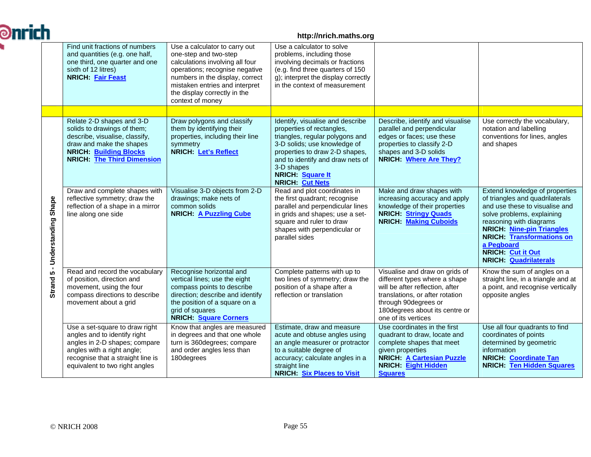| ich |                                              |                                                                                                                                                                                                      | http://nrich.maths.org                                                                                                                                                                                                                               |                                                                                                                                                                                                                                                                           |                                                                                                                                                                                                                         |                                                                                                                                                                                                                                                                                                                |  |  |
|-----|----------------------------------------------|------------------------------------------------------------------------------------------------------------------------------------------------------------------------------------------------------|------------------------------------------------------------------------------------------------------------------------------------------------------------------------------------------------------------------------------------------------------|---------------------------------------------------------------------------------------------------------------------------------------------------------------------------------------------------------------------------------------------------------------------------|-------------------------------------------------------------------------------------------------------------------------------------------------------------------------------------------------------------------------|----------------------------------------------------------------------------------------------------------------------------------------------------------------------------------------------------------------------------------------------------------------------------------------------------------------|--|--|
|     |                                              | Find unit fractions of numbers<br>and quantities (e.g. one half,<br>one third, one quarter and one<br>sixth of 12 litres)<br>NRICH: Fair Feast                                                       | Use a calculator to carry out<br>one-step and two-step<br>calculations involving all four<br>operations; recognise negative<br>numbers in the display, correct<br>mistaken entries and interpret<br>the display correctly in the<br>context of money | Use a calculator to solve<br>problems, including those<br>involving decimals or fractions<br>(e.g. find three quarters of 150<br>g); interpret the display correctly<br>in the context of measurement                                                                     |                                                                                                                                                                                                                         |                                                                                                                                                                                                                                                                                                                |  |  |
|     |                                              |                                                                                                                                                                                                      |                                                                                                                                                                                                                                                      |                                                                                                                                                                                                                                                                           |                                                                                                                                                                                                                         |                                                                                                                                                                                                                                                                                                                |  |  |
|     |                                              | Relate 2-D shapes and 3-D<br>solids to drawings of them;<br>describe, visualise, classify,<br>draw and make the shapes<br><b>NRICH: Building Blocks</b><br><b>NRICH: The Third Dimension</b>         | Draw polygons and classify<br>them by identifying their<br>properties, including their line<br>symmetry<br><b>NRICH: Let's Reflect</b>                                                                                                               | Identify, visualise and describe<br>properties of rectangles,<br>triangles, regular polygons and<br>3-D solids; use knowledge of<br>properties to draw 2-D shapes,<br>and to identify and draw nets of<br>3-D shapes<br><b>NRICH: Square It</b><br><b>NRICH: Cut Nets</b> | Describe, identify and visualise<br>parallel and perpendicular<br>edges or faces; use these<br>properties to classify 2-D<br>shapes and 3-D solids<br><b>NRICH: Where Are They?</b>                                     | Use correctly the vocabulary,<br>notation and labelling<br>conventions for lines, angles<br>and shapes                                                                                                                                                                                                         |  |  |
|     | Shape<br>Understanding                       | Draw and complete shapes with<br>reflective symmetry; draw the<br>reflection of a shape in a mirror<br>line along one side                                                                           | Visualise 3-D objects from 2-D<br>drawings; make nets of<br>common solids<br><b>NRICH: A Puzzling Cube</b>                                                                                                                                           | Read and plot coordinates in<br>the first quadrant; recognise<br>parallel and perpendicular lines<br>in grids and shapes; use a set-<br>square and ruler to draw<br>shapes with perpendicular or<br>parallel sides                                                        | Make and draw shapes with<br>increasing accuracy and apply<br>knowledge of their properties<br><b>NRICH: Stringy Quads</b><br><b>NRICH: Making Cuboids</b>                                                              | Extend knowledge of properties<br>of triangles and quadrilaterals<br>and use these to visualise and<br>solve problems, explaining<br>reasoning with diagrams<br><b>NRICH: Nine-pin Triangles</b><br><b>NRICH: Transformations on</b><br>a Pegboard<br><b>NRICH:</b> Cut it Out<br><b>NRICH: Quadrilaterals</b> |  |  |
|     | $\blacksquare$<br><b>LC</b><br><b>Strand</b> | Read and record the vocabulary<br>of position, direction and<br>movement, using the four<br>compass directions to describe<br>movement about a grid                                                  | Recognise horizontal and<br>vertical lines; use the eight<br>compass points to describe<br>direction; describe and identify<br>the position of a square on a<br>grid of squares<br><b>NRICH: Square Corners</b>                                      | Complete patterns with up to<br>two lines of symmetry; draw the<br>position of a shape after a<br>reflection or translation                                                                                                                                               | Visualise and draw on grids of<br>different types where a shape<br>will be after reflection, after<br>translations, or after rotation<br>through 90degrees or<br>180 degrees about its centre or<br>one of its vertices | Know the sum of angles on a<br>straight line, in a triangle and at<br>a point, and recognise vertically<br>opposite angles                                                                                                                                                                                     |  |  |
|     |                                              | Use a set-square to draw right<br>angles and to identify right<br>angles in 2-D shapes; compare<br>angles with a right angle;<br>recognise that a straight line is<br>equivalent to two right angles | Know that angles are measured<br>in degrees and that one whole<br>turn is 360degrees; compare<br>and order angles less than<br>180degrees                                                                                                            | Estimate, draw and measure<br>acute and obtuse angles using<br>an angle measurer or protractor<br>to a suitable degree of<br>accuracy; calculate angles in a<br>straight line<br><b>NRICH: Six Places to Visit</b>                                                        | Use coordinates in the first<br>quadrant to draw, locate and<br>complete shapes that meet<br>given properties<br><b>NRICH: A Cartesian Puzzle</b><br><b>NRICH: Eight Hidden</b><br><b>Squares</b>                       | Use all four quadrants to find<br>coordinates of points<br>determined by geometric<br>information<br><b>NRICH: Coordinate Tan</b><br><b>NRICH:</b> Ten Hidden Squares                                                                                                                                          |  |  |

 $\partial$ n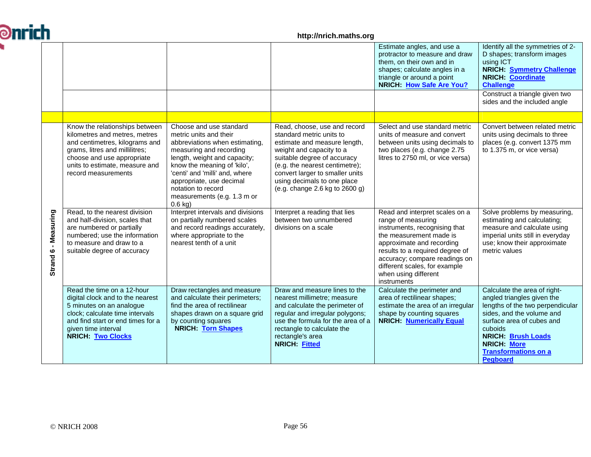| <b>Ənrich</b> |                      |                                                                                                                                                                                                                            |                                                                                                                                                                                                                                                                                                               | http://nrich.maths.org                                                                                                                                                                                                                                                                    |                                                                                                                                                                                                                                                                                           |                                                                                                                                                                                                                                                                   |
|---------------|----------------------|----------------------------------------------------------------------------------------------------------------------------------------------------------------------------------------------------------------------------|---------------------------------------------------------------------------------------------------------------------------------------------------------------------------------------------------------------------------------------------------------------------------------------------------------------|-------------------------------------------------------------------------------------------------------------------------------------------------------------------------------------------------------------------------------------------------------------------------------------------|-------------------------------------------------------------------------------------------------------------------------------------------------------------------------------------------------------------------------------------------------------------------------------------------|-------------------------------------------------------------------------------------------------------------------------------------------------------------------------------------------------------------------------------------------------------------------|
|               |                      |                                                                                                                                                                                                                            |                                                                                                                                                                                                                                                                                                               |                                                                                                                                                                                                                                                                                           | Estimate angles, and use a<br>protractor to measure and draw<br>them, on their own and in<br>shapes; calculate angles in a<br>triangle or around a point<br><b>NRICH: How Safe Are You?</b>                                                                                               | Identify all the symmetries of 2-<br>D shapes; transform images<br>using ICT<br><b>NRICH:</b> Symmetry Challenge<br><b>NRICH: Coordinate</b><br><b>Challenge</b>                                                                                                  |
|               |                      |                                                                                                                                                                                                                            |                                                                                                                                                                                                                                                                                                               |                                                                                                                                                                                                                                                                                           |                                                                                                                                                                                                                                                                                           | Construct a triangle given two<br>sides and the included angle                                                                                                                                                                                                    |
|               |                      |                                                                                                                                                                                                                            |                                                                                                                                                                                                                                                                                                               |                                                                                                                                                                                                                                                                                           |                                                                                                                                                                                                                                                                                           |                                                                                                                                                                                                                                                                   |
|               |                      | Know the relationships between<br>kilometres and metres, metres<br>and centimetres, kilograms and<br>grams, litres and millilitres;<br>choose and use appropriate<br>units to estimate, measure and<br>record measurements | Choose and use standard<br>metric units and their<br>abbreviations when estimating,<br>measuring and recording<br>length, weight and capacity;<br>know the meaning of 'kilo',<br>'centi' and 'milli' and, where<br>appropriate, use decimal<br>notation to record<br>measurements (e.g. 1.3 m or<br>$0.6$ kg) | Read, choose, use and record<br>standard metric units to<br>estimate and measure length,<br>weight and capacity to a<br>suitable degree of accuracy<br>(e.g. the nearest centimetre);<br>convert larger to smaller units<br>using decimals to one place<br>(e.g. change 2.6 kg to 2600 g) | Select and use standard metric<br>units of measure and convert<br>between units using decimals to<br>two places (e.g. change 2.75<br>litres to 2750 ml, or vice versa)                                                                                                                    | Convert between related metric<br>units using decimals to three<br>places (e.g. convert 1375 mm<br>to 1.375 m, or vice versa)                                                                                                                                     |
|               | Strand 6 - Measuring | Read, to the nearest division<br>and half-division, scales that<br>are numbered or partially<br>numbered; use the information<br>to measure and draw to a<br>suitable degree of accuracy                                   | Interpret intervals and divisions<br>on partially numbered scales<br>and record readings accurately,<br>where appropriate to the<br>nearest tenth of a unit                                                                                                                                                   | Interpret a reading that lies<br>between two unnumbered<br>divisions on a scale                                                                                                                                                                                                           | Read and interpret scales on a<br>range of measuring<br>instruments, recognising that<br>the measurement made is<br>approximate and recording<br>results to a required degree of<br>accuracy; compare readings on<br>different scales, for example<br>when using different<br>instruments | Solve problems by measuring,<br>estimating and calculating;<br>measure and calculate using<br>imperial units still in everyday<br>use; know their approximate<br>metric values                                                                                    |
|               |                      | Read the time on a 12-hour<br>digital clock and to the nearest<br>5 minutes on an analogue<br>clock; calculate time intervals<br>and find start or end times for a<br>given time interval<br><b>NRICH: Two Clocks</b>      | Draw rectangles and measure<br>and calculate their perimeters;<br>find the area of rectilinear<br>shapes drawn on a square grid<br>by counting squares<br><b>NRICH: Torn Shapes</b>                                                                                                                           | Draw and measure lines to the<br>nearest millimetre; measure<br>and calculate the perimeter of<br>regular and irregular polygons;<br>use the formula for the area of a<br>rectangle to calculate the<br>rectangle's area<br><b>NRICH: Fitted</b>                                          | Calculate the perimeter and<br>area of rectilinear shapes;<br>estimate the area of an irregular<br>shape by counting squares<br><b>NRICH: Numerically Equal</b>                                                                                                                           | Calculate the area of right-<br>angled triangles given the<br>lengths of the two perpendicular<br>sides, and the volume and<br>surface area of cubes and<br>cuboids<br><b>NRICH: Brush Loads</b><br><b>NRICH: More</b><br><b>Transformations on a</b><br>Pegboard |